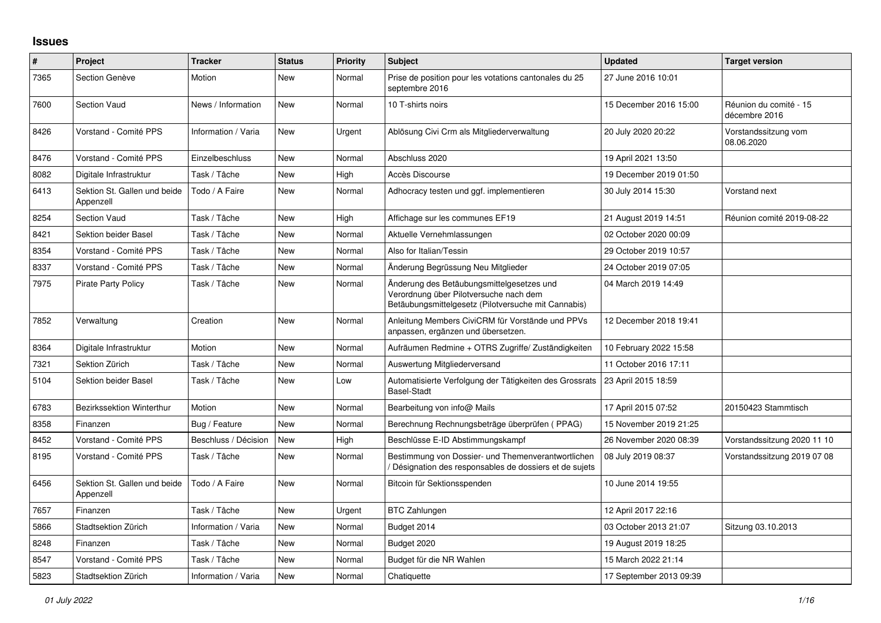## **Issues**

| $\pmb{\#}$ | Project                                   | <b>Tracker</b>       | <b>Status</b> | <b>Priority</b> | <b>Subject</b>                                                                                                                             | <b>Updated</b>          | <b>Target version</b>                   |
|------------|-------------------------------------------|----------------------|---------------|-----------------|--------------------------------------------------------------------------------------------------------------------------------------------|-------------------------|-----------------------------------------|
| 7365       | Section Genève                            | Motion               | New           | Normal          | Prise de position pour les votations cantonales du 25<br>septembre 2016                                                                    | 27 June 2016 10:01      |                                         |
| 7600       | Section Vaud                              | News / Information   | <b>New</b>    | Normal          | 10 T-shirts noirs                                                                                                                          | 15 December 2016 15:00  | Réunion du comité - 15<br>décembre 2016 |
| 8426       | Vorstand - Comité PPS                     | Information / Varia  | <b>New</b>    | Urgent          | Ablösung Civi Crm als Mitgliederverwaltung                                                                                                 | 20 July 2020 20:22      | Vorstandssitzung vom<br>08.06.2020      |
| 8476       | Vorstand - Comité PPS                     | Einzelbeschluss      | New           | Normal          | Abschluss 2020                                                                                                                             | 19 April 2021 13:50     |                                         |
| 8082       | Digitale Infrastruktur                    | Task / Tâche         | New           | High            | Accès Discourse                                                                                                                            | 19 December 2019 01:50  |                                         |
| 6413       | Sektion St. Gallen und beide<br>Appenzell | Todo / A Faire       | New           | Normal          | Adhocracy testen und ggf. implementieren                                                                                                   | 30 July 2014 15:30      | Vorstand next                           |
| 8254       | <b>Section Vaud</b>                       | Task / Tâche         | <b>New</b>    | High            | Affichage sur les communes EF19                                                                                                            | 21 August 2019 14:51    | Réunion comité 2019-08-22               |
| 8421       | Sektion beider Basel                      | Task / Tâche         | New           | Normal          | Aktuelle Vernehmlassungen                                                                                                                  | 02 October 2020 00:09   |                                         |
| 8354       | Vorstand - Comité PPS                     | Task / Tâche         | New           | Normal          | Also for Italian/Tessin                                                                                                                    | 29 October 2019 10:57   |                                         |
| 8337       | Vorstand - Comité PPS                     | Task / Tâche         | New           | Normal          | Änderung Begrüssung Neu Mitglieder                                                                                                         | 24 October 2019 07:05   |                                         |
| 7975       | <b>Pirate Party Policy</b>                | Task / Tâche         | <b>New</b>    | Normal          | Änderung des Betäubungsmittelgesetzes und<br>Verordnung über Pilotversuche nach dem<br>Betäubungsmittelgesetz (Pilotversuche mit Cannabis) | 04 March 2019 14:49     |                                         |
| 7852       | Verwaltung                                | Creation             | <b>New</b>    | Normal          | Anleitung Members CiviCRM für Vorstände und PPVs<br>anpassen, ergänzen und übersetzen.                                                     | 12 December 2018 19:41  |                                         |
| 8364       | Digitale Infrastruktur                    | Motion               | New           | Normal          | Aufräumen Redmine + OTRS Zugriffe/ Zuständigkeiten                                                                                         | 10 February 2022 15:58  |                                         |
| 7321       | Sektion Zürich                            | Task / Tâche         | New           | Normal          | Auswertung Mitgliederversand                                                                                                               | 11 October 2016 17:11   |                                         |
| 5104       | Sektion beider Basel                      | Task / Tâche         | New           | Low             | Automatisierte Verfolgung der Tätigkeiten des Grossrats<br><b>Basel-Stadt</b>                                                              | 23 April 2015 18:59     |                                         |
| 6783       | <b>Bezirkssektion Winterthur</b>          | Motion               | <b>New</b>    | Normal          | Bearbeitung von info@ Mails                                                                                                                | 17 April 2015 07:52     | 20150423 Stammtisch                     |
| 8358       | Finanzen                                  | Bug / Feature        | New           | Normal          | Berechnung Rechnungsbeträge überprüfen (PPAG)                                                                                              | 15 November 2019 21:25  |                                         |
| 8452       | Vorstand - Comité PPS                     | Beschluss / Décision | <b>New</b>    | High            | Beschlüsse E-ID Abstimmungskampf                                                                                                           | 26 November 2020 08:39  | Vorstandssitzung 2020 11 10             |
| 8195       | Vorstand - Comité PPS                     | Task / Tâche         | <b>New</b>    | Normal          | Bestimmung von Dossier- und Themenverantwortlichen<br>Désignation des responsables de dossiers et de sujets                                | 08 July 2019 08:37      | Vorstandssitzung 2019 07 08             |
| 6456       | Sektion St. Gallen und beide<br>Appenzell | Todo / A Faire       | <b>New</b>    | Normal          | Bitcoin für Sektionsspenden                                                                                                                | 10 June 2014 19:55      |                                         |
| 7657       | Finanzen                                  | Task / Tâche         | New           | Urgent          | <b>BTC Zahlungen</b>                                                                                                                       | 12 April 2017 22:16     |                                         |
| 5866       | Stadtsektion Zürich                       | Information / Varia  | New           | Normal          | Budget 2014                                                                                                                                | 03 October 2013 21:07   | Sitzung 03.10.2013                      |
| 8248       | Finanzen                                  | Task / Tâche         | <b>New</b>    | Normal          | Budget 2020                                                                                                                                | 19 August 2019 18:25    |                                         |
| 8547       | Vorstand - Comité PPS                     | Task / Tâche         | <b>New</b>    | Normal          | Budget für die NR Wahlen                                                                                                                   | 15 March 2022 21:14     |                                         |
| 5823       | Stadtsektion Zürich                       | Information / Varia  | <b>New</b>    | Normal          | Chatiquette                                                                                                                                | 17 September 2013 09:39 |                                         |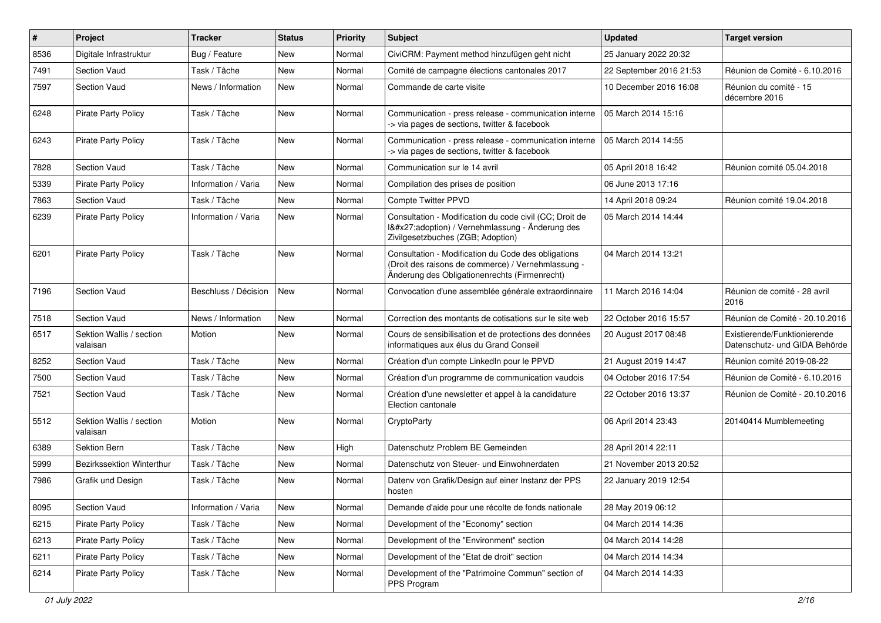| $\sharp$ | Project                              | <b>Tracker</b>       | <b>Status</b> | <b>Priority</b> | <b>Subject</b>                                                                                                                                             | <b>Updated</b>          | <b>Target version</b>                                         |
|----------|--------------------------------------|----------------------|---------------|-----------------|------------------------------------------------------------------------------------------------------------------------------------------------------------|-------------------------|---------------------------------------------------------------|
| 8536     | Digitale Infrastruktur               | Bug / Feature        | New           | Normal          | CiviCRM: Payment method hinzufügen geht nicht                                                                                                              | 25 January 2022 20:32   |                                                               |
| 7491     | Section Vaud                         | Task / Tâche         | New           | Normal          | Comité de campagne élections cantonales 2017                                                                                                               | 22 September 2016 21:53 | Réunion de Comité - 6.10.2016                                 |
| 7597     | <b>Section Vaud</b>                  | News / Information   | <b>New</b>    | Normal          | Commande de carte visite                                                                                                                                   | 10 December 2016 16:08  | Réunion du comité - 15<br>décembre 2016                       |
| 6248     | <b>Pirate Party Policy</b>           | Task / Tâche         | <b>New</b>    | Normal          | Communication - press release - communication interne<br>-> via pages de sections, twitter & facebook                                                      | 05 March 2014 15:16     |                                                               |
| 6243     | <b>Pirate Party Policy</b>           | Task / Tâche         | <b>New</b>    | Normal          | Communication - press release - communication interne<br>-> via pages de sections, twitter & facebook                                                      | 05 March 2014 14:55     |                                                               |
| 7828     | <b>Section Vaud</b>                  | Task / Tâche         | New           | Normal          | Communication sur le 14 avril                                                                                                                              | 05 April 2018 16:42     | Réunion comité 05.04.2018                                     |
| 5339     | <b>Pirate Party Policy</b>           | Information / Varia  | <b>New</b>    | Normal          | Compilation des prises de position                                                                                                                         | 06 June 2013 17:16      |                                                               |
| 7863     | <b>Section Vaud</b>                  | Task / Tâche         | <b>New</b>    | Normal          | <b>Compte Twitter PPVD</b>                                                                                                                                 | 14 April 2018 09:24     | Réunion comité 19.04.2018                                     |
| 6239     | <b>Pirate Party Policy</b>           | Information / Varia  | New           | Normal          | Consultation - Modification du code civil (CC; Droit de<br>I'adoption) / Vernehmlassung - Änderung des<br>Zivilgesetzbuches (ZGB; Adoption)                | 05 March 2014 14:44     |                                                               |
| 6201     | <b>Pirate Party Policy</b>           | Task / Tâche         | <b>New</b>    | Normal          | Consultation - Modification du Code des obligations<br>(Droit des raisons de commerce) / Vernehmlassung -<br>Änderung des Obligationenrechts (Firmenrecht) | 04 March 2014 13:21     |                                                               |
| 7196     | <b>Section Vaud</b>                  | Beschluss / Décision | <b>New</b>    | Normal          | Convocation d'une assemblée générale extraordinnaire                                                                                                       | 11 March 2016 14:04     | Réunion de comité - 28 avril<br>2016                          |
| 7518     | <b>Section Vaud</b>                  | News / Information   | New           | Normal          | Correction des montants de cotisations sur le site web                                                                                                     | 22 October 2016 15:57   | Réunion de Comité - 20.10.2016                                |
| 6517     | Sektion Wallis / section<br>valaisan | Motion               | <b>New</b>    | Normal          | Cours de sensibilisation et de protections des données<br>informatiques aux élus du Grand Conseil                                                          | 20 August 2017 08:48    | Existierende/Funktionierende<br>Datenschutz- und GIDA Behörde |
| 8252     | <b>Section Vaud</b>                  | Task / Tâche         | <b>New</b>    | Normal          | Création d'un compte LinkedIn pour le PPVD                                                                                                                 | 21 August 2019 14:47    | Réunion comité 2019-08-22                                     |
| 7500     | <b>Section Vaud</b>                  | Task / Tâche         | <b>New</b>    | Normal          | Création d'un programme de communication vaudois                                                                                                           | 04 October 2016 17:54   | Réunion de Comité - 6.10.2016                                 |
| 7521     | <b>Section Vaud</b>                  | Task / Tâche         | New           | Normal          | Création d'une newsletter et appel à la candidature<br>Election cantonale                                                                                  | 22 October 2016 13:37   | Réunion de Comité - 20.10.2016                                |
| 5512     | Sektion Wallis / section<br>valaisan | Motion               | New           | Normal          | CryptoParty                                                                                                                                                | 06 April 2014 23:43     | 20140414 Mumblemeeting                                        |
| 6389     | <b>Sektion Bern</b>                  | Task / Tâche         | <b>New</b>    | High            | Datenschutz Problem BE Gemeinden                                                                                                                           | 28 April 2014 22:11     |                                                               |
| 5999     | <b>Bezirkssektion Winterthur</b>     | Task / Tâche         | New           | Normal          | Datenschutz von Steuer- und Einwohnerdaten                                                                                                                 | 21 November 2013 20:52  |                                                               |
| 7986     | Grafik und Design                    | Task / Tâche         | New           | Normal          | Datenv von Grafik/Design auf einer Instanz der PPS<br>hosten                                                                                               | 22 January 2019 12:54   |                                                               |
| 8095     | Section Vaud                         | Information / Varia  | New           | Normal          | Demande d'aide pour une récolte de fonds nationale                                                                                                         | 28 May 2019 06:12       |                                                               |
| 6215     | Pirate Party Policy                  | Task / Tâche         | New           | Normal          | Development of the "Economy" section                                                                                                                       | 04 March 2014 14:36     |                                                               |
| 6213     | Pirate Party Policy                  | Task / Tâche         | New           | Normal          | Development of the "Environment" section                                                                                                                   | 04 March 2014 14:28     |                                                               |
| 6211     | Pirate Party Policy                  | Task / Tâche         | New           | Normal          | Development of the "Etat de droit" section                                                                                                                 | 04 March 2014 14:34     |                                                               |
| 6214     | Pirate Party Policy                  | Task / Tâche         | New           | Normal          | Development of the "Patrimoine Commun" section of<br>PPS Program                                                                                           | 04 March 2014 14:33     |                                                               |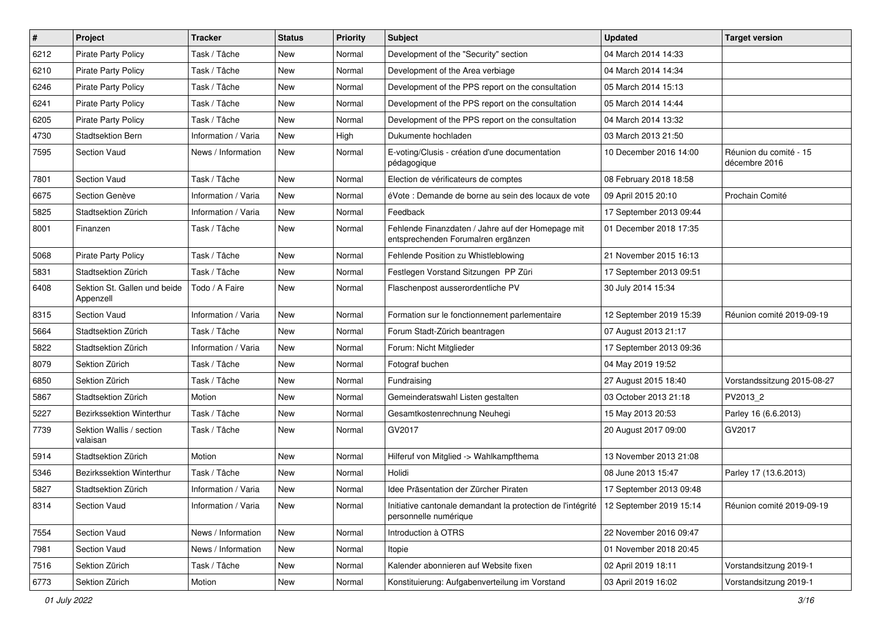| $\pmb{\#}$ | Project                                   | <b>Tracker</b>      | <b>Status</b> | <b>Priority</b> | <b>Subject</b>                                                                          | <b>Updated</b>          | <b>Target version</b>                   |
|------------|-------------------------------------------|---------------------|---------------|-----------------|-----------------------------------------------------------------------------------------|-------------------------|-----------------------------------------|
| 6212       | <b>Pirate Party Policy</b>                | Task / Tâche        | New           | Normal          | Development of the "Security" section                                                   | 04 March 2014 14:33     |                                         |
| 6210       | <b>Pirate Party Policy</b>                | Task / Tâche        | <b>New</b>    | Normal          | Development of the Area verbiage                                                        | 04 March 2014 14:34     |                                         |
| 6246       | <b>Pirate Party Policy</b>                | Task / Tâche        | New           | Normal          | Development of the PPS report on the consultation                                       | 05 March 2014 15:13     |                                         |
| 6241       | Pirate Party Policy                       | Task / Tâche        | New           | Normal          | Development of the PPS report on the consultation                                       | 05 March 2014 14:44     |                                         |
| 6205       | <b>Pirate Party Policy</b>                | Task / Tâche        | <b>New</b>    | Normal          | Development of the PPS report on the consultation                                       | 04 March 2014 13:32     |                                         |
| 4730       | <b>Stadtsektion Bern</b>                  | Information / Varia | <b>New</b>    | High            | Dukumente hochladen                                                                     | 03 March 2013 21:50     |                                         |
| 7595       | <b>Section Vaud</b>                       | News / Information  | New           | Normal          | E-voting/Clusis - création d'une documentation<br>pédagogique                           | 10 December 2016 14:00  | Réunion du comité - 15<br>décembre 2016 |
| 7801       | Section Vaud                              | Task / Tâche        | <b>New</b>    | Normal          | Election de vérificateurs de comptes                                                    | 08 February 2018 18:58  |                                         |
| 6675       | Section Genève                            | Information / Varia | <b>New</b>    | Normal          | éVote : Demande de borne au sein des locaux de vote                                     | 09 April 2015 20:10     | Prochain Comité                         |
| 5825       | Stadtsektion Zürich                       | Information / Varia | New           | Normal          | Feedback                                                                                | 17 September 2013 09:44 |                                         |
| 8001       | Finanzen                                  | Task / Tâche        | <b>New</b>    | Normal          | Fehlende Finanzdaten / Jahre auf der Homepage mit<br>entsprechenden Forumalren ergänzen | 01 December 2018 17:35  |                                         |
| 5068       | Pirate Party Policy                       | Task / Tâche        | New           | Normal          | Fehlende Position zu Whistleblowing                                                     | 21 November 2015 16:13  |                                         |
| 5831       | Stadtsektion Zürich                       | Task / Tâche        | <b>New</b>    | Normal          | Festlegen Vorstand Sitzungen PP Züri                                                    | 17 September 2013 09:51 |                                         |
| 6408       | Sektion St. Gallen und beide<br>Appenzell | Todo / A Faire      | <b>New</b>    | Normal          | Flaschenpost ausserordentliche PV                                                       | 30 July 2014 15:34      |                                         |
| 8315       | Section Vaud                              | Information / Varia | <b>New</b>    | Normal          | Formation sur le fonctionnement parlementaire                                           | 12 September 2019 15:39 | Réunion comité 2019-09-19               |
| 5664       | Stadtsektion Zürich                       | Task / Tâche        | New           | Normal          | Forum Stadt-Zürich beantragen                                                           | 07 August 2013 21:17    |                                         |
| 5822       | Stadtsektion Zürich                       | Information / Varia | <b>New</b>    | Normal          | Forum: Nicht Mitglieder                                                                 | 17 September 2013 09:36 |                                         |
| 8079       | Sektion Zürich                            | Task / Tâche        | New           | Normal          | Fotograf buchen                                                                         | 04 May 2019 19:52       |                                         |
| 6850       | Sektion Zürich                            | Task / Tâche        | New           | Normal          | Fundraising                                                                             | 27 August 2015 18:40    | Vorstandssitzung 2015-08-27             |
| 5867       | Stadtsektion Zürich                       | Motion              | <b>New</b>    | Normal          | Gemeinderatswahl Listen gestalten                                                       | 03 October 2013 21:18   | PV2013_2                                |
| 5227       | Bezirkssektion Winterthur                 | Task / Tâche        | New           | Normal          | Gesamtkostenrechnung Neuhegi                                                            | 15 May 2013 20:53       | Parley 16 (6.6.2013)                    |
| 7739       | Sektion Wallis / section<br>valaisan      | Task / Tâche        | <b>New</b>    | Normal          | GV2017                                                                                  | 20 August 2017 09:00    | GV2017                                  |
| 5914       | Stadtsektion Zürich                       | Motion              | New           | Normal          | Hilferuf von Mitglied -> Wahlkampfthema                                                 | 13 November 2013 21:08  |                                         |
| 5346       | Bezirkssektion Winterthur                 | Task / Tâche        | New           | Normal          | Holidi                                                                                  | 08 June 2013 15:47      | Parley 17 (13.6.2013)                   |
| 5827       | Stadtsektion Zürich                       | Information / Varia | <b>New</b>    | Normal          | Idee Präsentation der Zürcher Piraten                                                   | 17 September 2013 09:48 |                                         |
| 8314       | Section Vaud                              | Information / Varia | New           | Normal          | Initiative cantonale demandant la protection de l'intégrité<br>personnelle numérique    | 12 September 2019 15:14 | Réunion comité 2019-09-19               |
| 7554       | Section Vaud                              | News / Information  | New           | Normal          | Introduction à OTRS                                                                     | 22 November 2016 09:47  |                                         |
| 7981       | Section Vaud                              | News / Information  | New           | Normal          | Itopie                                                                                  | 01 November 2018 20:45  |                                         |
| 7516       | Sektion Zürich                            | Task / Tâche        | New           | Normal          | Kalender abonnieren auf Website fixen                                                   | 02 April 2019 18:11     | Vorstandsitzung 2019-1                  |
| 6773       | Sektion Zürich                            | Motion              | New           | Normal          | Konstituierung: Aufgabenverteilung im Vorstand                                          | 03 April 2019 16:02     | Vorstandsitzung 2019-1                  |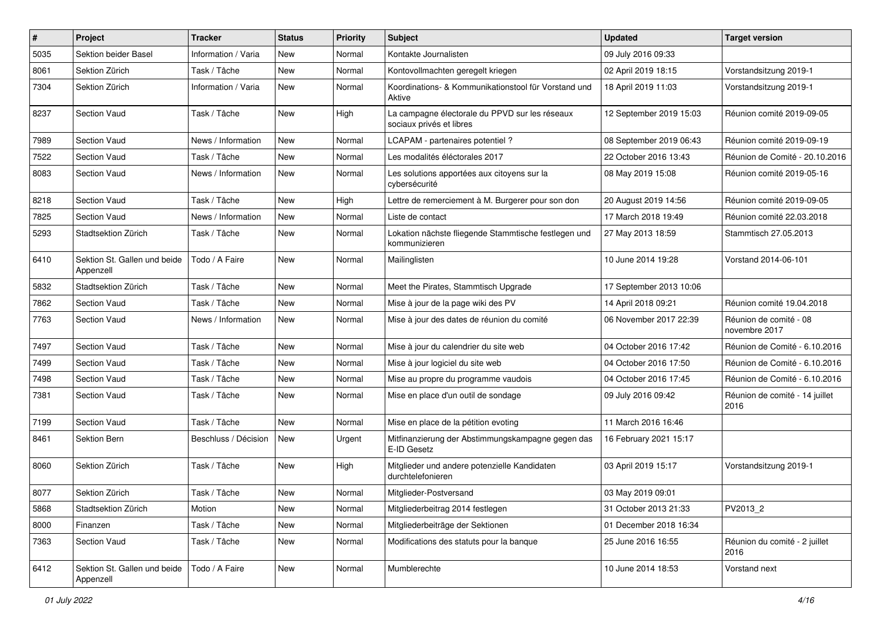| $\sharp$ | Project                                   | <b>Tracker</b>       | <b>Status</b> | <b>Priority</b> | <b>Subject</b>                                                             | <b>Updated</b>          | <b>Target version</b>                   |
|----------|-------------------------------------------|----------------------|---------------|-----------------|----------------------------------------------------------------------------|-------------------------|-----------------------------------------|
| 5035     | Sektion beider Basel                      | Information / Varia  | New           | Normal          | Kontakte Journalisten                                                      | 09 July 2016 09:33      |                                         |
| 8061     | Sektion Zürich                            | Task / Tâche         | New           | Normal          | Kontovollmachten geregelt kriegen                                          | 02 April 2019 18:15     | Vorstandsitzung 2019-1                  |
| 7304     | Sektion Zürich                            | Information / Varia  | New           | Normal          | Koordinations- & Kommunikationstool für Vorstand und<br>Aktive             | 18 April 2019 11:03     | Vorstandsitzung 2019-1                  |
| 8237     | Section Vaud                              | Task / Tâche         | New           | High            | La campagne électorale du PPVD sur les réseaux<br>sociaux privés et libres | 12 September 2019 15:03 | Réunion comité 2019-09-05               |
| 7989     | <b>Section Vaud</b>                       | News / Information   | <b>New</b>    | Normal          | LCAPAM - partenaires potentiel?                                            | 08 September 2019 06:43 | Réunion comité 2019-09-19               |
| 7522     | <b>Section Vaud</b>                       | Task / Tâche         | <b>New</b>    | Normal          | Les modalités éléctorales 2017                                             | 22 October 2016 13:43   | Réunion de Comité - 20.10.2016          |
| 8083     | <b>Section Vaud</b>                       | News / Information   | <b>New</b>    | Normal          | Les solutions apportées aux citoyens sur la<br>cybersécurité               | 08 May 2019 15:08       | Réunion comité 2019-05-16               |
| 8218     | Section Vaud                              | Task / Tâche         | New           | High            | Lettre de remerciement à M. Burgerer pour son don                          | 20 August 2019 14:56    | Réunion comité 2019-09-05               |
| 7825     | <b>Section Vaud</b>                       | News / Information   | New           | Normal          | Liste de contact                                                           | 17 March 2018 19:49     | Réunion comité 22.03.2018               |
| 5293     | Stadtsektion Zürich                       | Task / Tâche         | <b>New</b>    | Normal          | Lokation nächste fliegende Stammtische festlegen und<br>kommunizieren      | 27 May 2013 18:59       | Stammtisch 27.05.2013                   |
| 6410     | Sektion St. Gallen und beide<br>Appenzell | Todo / A Faire       | <b>New</b>    | Normal          | Mailinglisten                                                              | 10 June 2014 19:28      | Vorstand 2014-06-101                    |
| 5832     | Stadtsektion Zürich                       | Task / Tâche         | <b>New</b>    | Normal          | Meet the Pirates, Stammtisch Upgrade                                       | 17 September 2013 10:06 |                                         |
| 7862     | <b>Section Vaud</b>                       | Task / Tâche         | <b>New</b>    | Normal          | Mise à jour de la page wiki des PV                                         | 14 April 2018 09:21     | Réunion comité 19.04.2018               |
| 7763     | <b>Section Vaud</b>                       | News / Information   | New           | Normal          | Mise à jour des dates de réunion du comité                                 | 06 November 2017 22:39  | Réunion de comité - 08<br>novembre 2017 |
| 7497     | Section Vaud                              | Task / Tâche         | <b>New</b>    | Normal          | Mise à jour du calendrier du site web                                      | 04 October 2016 17:42   | Réunion de Comité - 6.10.2016           |
| 7499     | <b>Section Vaud</b>                       | Task / Tâche         | New           | Normal          | Mise à jour logiciel du site web                                           | 04 October 2016 17:50   | Réunion de Comité - 6.10.2016           |
| 7498     | <b>Section Vaud</b>                       | Task / Tâche         | <b>New</b>    | Normal          | Mise au propre du programme vaudois                                        | 04 October 2016 17:45   | Réunion de Comité - 6.10.2016           |
| 7381     | <b>Section Vaud</b>                       | Task / Tâche         | New           | Normal          | Mise en place d'un outil de sondage                                        | 09 July 2016 09:42      | Réunion de comité - 14 juillet<br>2016  |
| 7199     | <b>Section Vaud</b>                       | Task / Tâche         | <b>New</b>    | Normal          | Mise en place de la pétition evoting                                       | 11 March 2016 16:46     |                                         |
| 8461     | <b>Sektion Bern</b>                       | Beschluss / Décision | New           | Urgent          | Mitfinanzierung der Abstimmungskampagne gegen das<br>E-ID Gesetz           | 16 February 2021 15:17  |                                         |
| 8060     | Sektion Zürich                            | Task / Tâche         | <b>New</b>    | High            | Mitglieder und andere potenzielle Kandidaten<br>durchtelefonieren          | 03 April 2019 15:17     | Vorstandsitzung 2019-1                  |
| 8077     | Sektion Zürich                            | Task / Tâche         | New           | Normal          | Mitglieder-Postversand                                                     | 03 May 2019 09:01       |                                         |
| 5868     | Stadtsektion Zürich                       | Motion               | New           | Normal          | Mitgliederbeitrag 2014 festlegen                                           | 31 October 2013 21:33   | PV2013_2                                |
| 8000     | Finanzen                                  | Task / Tâche         | New           | Normal          | Mitgliederbeiträge der Sektionen                                           | 01 December 2018 16:34  |                                         |
| 7363     | Section Vaud                              | Task / Tâche         | New           | Normal          | Modifications des statuts pour la banque                                   | 25 June 2016 16:55      | Réunion du comité - 2 juillet<br>2016   |
| 6412     | Sektion St. Gallen und beide<br>Appenzell | Todo / A Faire       | New           | Normal          | Mumblerechte                                                               | 10 June 2014 18:53      | Vorstand next                           |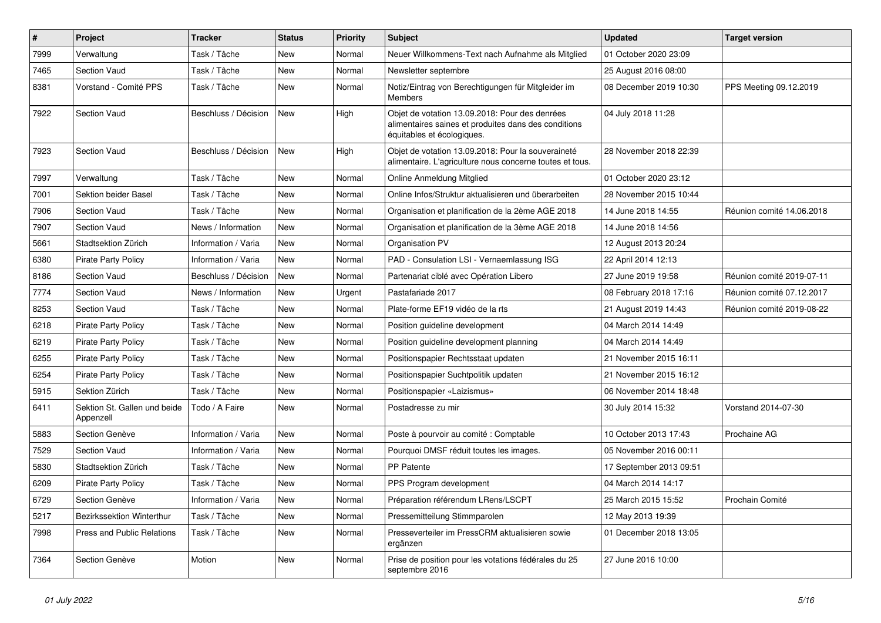| $\pmb{\#}$ | Project                                   | <b>Tracker</b>       | <b>Status</b> | <b>Priority</b> | <b>Subject</b>                                                                                                                       | <b>Updated</b>          | <b>Target version</b>     |
|------------|-------------------------------------------|----------------------|---------------|-----------------|--------------------------------------------------------------------------------------------------------------------------------------|-------------------------|---------------------------|
| 7999       | Verwaltung                                | Task / Tâche         | New           | Normal          | Neuer Willkommens-Text nach Aufnahme als Mitglied                                                                                    | 01 October 2020 23:09   |                           |
| 7465       | <b>Section Vaud</b>                       | Task / Tâche         | <b>New</b>    | Normal          | Newsletter septembre                                                                                                                 | 25 August 2016 08:00    |                           |
| 8381       | Vorstand - Comité PPS                     | Task / Tâche         | <b>New</b>    | Normal          | Notiz/Eintrag von Berechtigungen für Mitgleider im<br>Members                                                                        | 08 December 2019 10:30  | PPS Meeting 09.12.2019    |
| 7922       | <b>Section Vaud</b>                       | Beschluss / Décision | <b>New</b>    | High            | Objet de votation 13.09.2018: Pour des denrées<br>alimentaires saines et produites dans des conditions<br>équitables et écologiques. | 04 July 2018 11:28      |                           |
| 7923       | <b>Section Vaud</b>                       | Beschluss / Décision | New           | High            | Objet de votation 13.09.2018: Pour la souveraineté<br>alimentaire. L'agriculture nous concerne toutes et tous.                       | 28 November 2018 22:39  |                           |
| 7997       | Verwaltung                                | Task / Tâche         | <b>New</b>    | Normal          | Online Anmeldung Mitglied                                                                                                            | 01 October 2020 23:12   |                           |
| 7001       | Sektion beider Basel                      | Task / Tâche         | <b>New</b>    | Normal          | Online Infos/Struktur aktualisieren und überarbeiten                                                                                 | 28 November 2015 10:44  |                           |
| 7906       | <b>Section Vaud</b>                       | Task / Tâche         | <b>New</b>    | Normal          | Organisation et planification de la 2ème AGE 2018                                                                                    | 14 June 2018 14:55      | Réunion comité 14.06.2018 |
| 7907       | <b>Section Vaud</b>                       | News / Information   | New           | Normal          | Organisation et planification de la 3ème AGE 2018                                                                                    | 14 June 2018 14:56      |                           |
| 5661       | Stadtsektion Zürich                       | Information / Varia  | <b>New</b>    | Normal          | Organisation PV                                                                                                                      | 12 August 2013 20:24    |                           |
| 6380       | <b>Pirate Party Policy</b>                | Information / Varia  | <b>New</b>    | Normal          | PAD - Consulation LSI - Vernaemlassung ISG                                                                                           | 22 April 2014 12:13     |                           |
| 8186       | Section Vaud                              | Beschluss / Décision | <b>New</b>    | Normal          | Partenariat ciblé avec Opération Libero                                                                                              | 27 June 2019 19:58      | Réunion comité 2019-07-11 |
| 7774       | <b>Section Vaud</b>                       | News / Information   | New           | Urgent          | Pastafariade 2017                                                                                                                    | 08 February 2018 17:16  | Réunion comité 07.12.2017 |
| 8253       | Section Vaud                              | Task / Tâche         | New           | Normal          | Plate-forme EF19 vidéo de la rts                                                                                                     | 21 August 2019 14:43    | Réunion comité 2019-08-22 |
| 6218       | <b>Pirate Party Policy</b>                | Task / Tâche         | <b>New</b>    | Normal          | Position guideline development                                                                                                       | 04 March 2014 14:49     |                           |
| 6219       | <b>Pirate Party Policy</b>                | Task / Tâche         | New           | Normal          | Position guideline development planning                                                                                              | 04 March 2014 14:49     |                           |
| 6255       | <b>Pirate Party Policy</b>                | Task / Tâche         | New           | Normal          | Positionspapier Rechtsstaat updaten                                                                                                  | 21 November 2015 16:11  |                           |
| 6254       | <b>Pirate Party Policy</b>                | Task / Tâche         | New           | Normal          | Positionspapier Suchtpolitik updaten                                                                                                 | 21 November 2015 16:12  |                           |
| 5915       | Sektion Zürich                            | Task / Tâche         | New           | Normal          | Positionspapier «Laizismus»                                                                                                          | 06 November 2014 18:48  |                           |
| 6411       | Sektion St. Gallen und beide<br>Appenzell | Todo / A Faire       | New           | Normal          | Postadresse zu mir                                                                                                                   | 30 July 2014 15:32      | Vorstand 2014-07-30       |
| 5883       | Section Genève                            | Information / Varia  | <b>New</b>    | Normal          | Poste à pourvoir au comité : Comptable                                                                                               | 10 October 2013 17:43   | Prochaine AG              |
| 7529       | <b>Section Vaud</b>                       | Information / Varia  | <b>New</b>    | Normal          | Pourquoi DMSF réduit toutes les images.                                                                                              | 05 November 2016 00:11  |                           |
| 5830       | Stadtsektion Zürich                       | Task / Tâche         | <b>New</b>    | Normal          | <b>PP Patente</b>                                                                                                                    | 17 September 2013 09:51 |                           |
| 6209       | <b>Pirate Party Policy</b>                | Task / Tâche         | <b>New</b>    | Normal          | PPS Program development                                                                                                              | 04 March 2014 14:17     |                           |
| 6729       | Section Genève                            | Information / Varia  | <b>New</b>    | Normal          | Préparation référendum LRens/LSCPT                                                                                                   | 25 March 2015 15:52     | Prochain Comité           |
| 5217       | Bezirkssektion Winterthur                 | Task / Tâche         | <b>New</b>    | Normal          | Pressemitteilung Stimmparolen                                                                                                        | 12 May 2013 19:39       |                           |
| 7998       | <b>Press and Public Relations</b>         | Task / Tâche         | <b>New</b>    | Normal          | Presseverteiler im PressCRM aktualisieren sowie<br>ergänzen                                                                          | 01 December 2018 13:05  |                           |
| 7364       | Section Genève                            | Motion               | <b>New</b>    | Normal          | Prise de position pour les votations fédérales du 25<br>septembre 2016                                                               | 27 June 2016 10:00      |                           |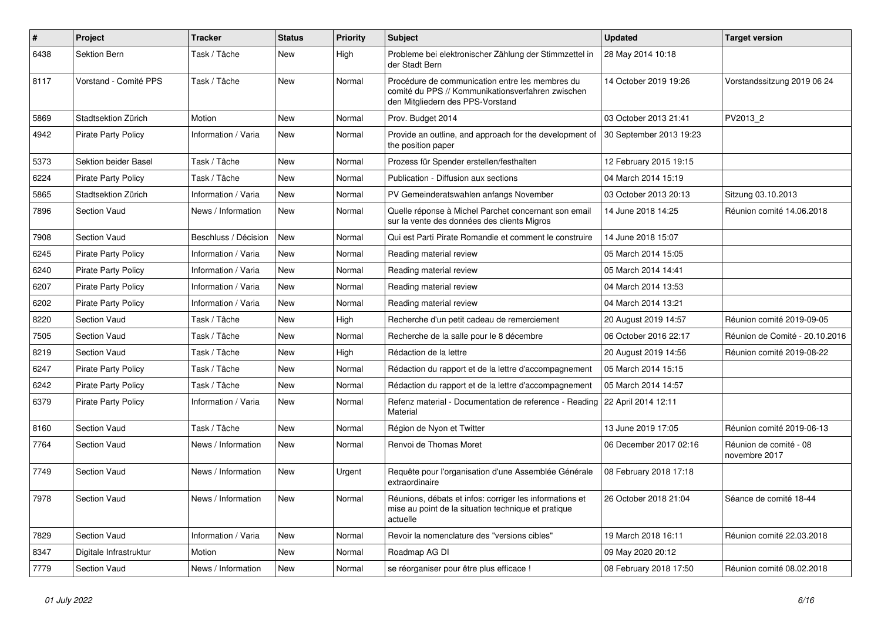| $\pmb{\#}$ | Project                    | <b>Tracker</b>       | <b>Status</b> | <b>Priority</b> | <b>Subject</b>                                                                                                                           | <b>Updated</b>          | <b>Target version</b>                   |
|------------|----------------------------|----------------------|---------------|-----------------|------------------------------------------------------------------------------------------------------------------------------------------|-------------------------|-----------------------------------------|
| 6438       | Sektion Bern               | Task / Tâche         | <b>New</b>    | High            | Probleme bei elektronischer Zählung der Stimmzettel in<br>der Stadt Bern                                                                 | 28 May 2014 10:18       |                                         |
| 8117       | Vorstand - Comité PPS      | Task / Tâche         | <b>New</b>    | Normal          | Procédure de communication entre les membres du<br>comité du PPS // Kommunikationsverfahren zwischen<br>den Mitgliedern des PPS-Vorstand | 14 October 2019 19:26   | Vorstandssitzung 2019 06 24             |
| 5869       | Stadtsektion Zürich        | Motion               | New           | Normal          | Prov. Budget 2014                                                                                                                        | 03 October 2013 21:41   | PV2013 2                                |
| 4942       | <b>Pirate Party Policy</b> | Information / Varia  | <b>New</b>    | Normal          | Provide an outline, and approach for the development of<br>the position paper                                                            | 30 September 2013 19:23 |                                         |
| 5373       | Sektion beider Basel       | Task / Tâche         | <b>New</b>    | Normal          | Prozess für Spender erstellen/festhalten                                                                                                 | 12 February 2015 19:15  |                                         |
| 6224       | <b>Pirate Party Policy</b> | Task / Tâche         | <b>New</b>    | Normal          | Publication - Diffusion aux sections                                                                                                     | 04 March 2014 15:19     |                                         |
| 5865       | Stadtsektion Zürich        | Information / Varia  | <b>New</b>    | Normal          | PV Gemeinderatswahlen anfangs November                                                                                                   | 03 October 2013 20:13   | Sitzung 03.10.2013                      |
| 7896       | <b>Section Vaud</b>        | News / Information   | <b>New</b>    | Normal          | Quelle réponse à Michel Parchet concernant son email<br>sur la vente des données des clients Migros                                      | 14 June 2018 14:25      | Réunion comité 14.06.2018               |
| 7908       | Section Vaud               | Beschluss / Décision | <b>New</b>    | Normal          | Qui est Parti Pirate Romandie et comment le construire                                                                                   | 14 June 2018 15:07      |                                         |
| 6245       | <b>Pirate Party Policy</b> | Information / Varia  | New           | Normal          | Reading material review                                                                                                                  | 05 March 2014 15:05     |                                         |
| 6240       | <b>Pirate Party Policy</b> | Information / Varia  | New           | Normal          | Reading material review                                                                                                                  | 05 March 2014 14:41     |                                         |
| 6207       | <b>Pirate Party Policy</b> | Information / Varia  | New           | Normal          | Reading material review                                                                                                                  | 04 March 2014 13:53     |                                         |
| 6202       | <b>Pirate Party Policy</b> | Information / Varia  | <b>New</b>    | Normal          | Reading material review                                                                                                                  | 04 March 2014 13:21     |                                         |
| 8220       | <b>Section Vaud</b>        | Task / Tâche         | New           | High            | Recherche d'un petit cadeau de remerciement                                                                                              | 20 August 2019 14:57    | Réunion comité 2019-09-05               |
| 7505       | <b>Section Vaud</b>        | Task / Tâche         | <b>New</b>    | Normal          | Recherche de la salle pour le 8 décembre                                                                                                 | 06 October 2016 22:17   | Réunion de Comité - 20.10.2016          |
| 8219       | <b>Section Vaud</b>        | Task / Tâche         | New           | High            | Rédaction de la lettre                                                                                                                   | 20 August 2019 14:56    | Réunion comité 2019-08-22               |
| 6247       | <b>Pirate Party Policy</b> | Task / Tâche         | <b>New</b>    | Normal          | Rédaction du rapport et de la lettre d'accompagnement                                                                                    | 05 March 2014 15:15     |                                         |
| 6242       | <b>Pirate Party Policy</b> | Task / Tâche         | <b>New</b>    | Normal          | Rédaction du rapport et de la lettre d'accompagnement                                                                                    | 05 March 2014 14:57     |                                         |
| 6379       | <b>Pirate Party Policy</b> | Information / Varia  | <b>New</b>    | Normal          | Refenz material - Documentation de reference - Reading<br>Material                                                                       | 22 April 2014 12:11     |                                         |
| 8160       | <b>Section Vaud</b>        | Task / Tâche         | <b>New</b>    | Normal          | Région de Nyon et Twitter                                                                                                                | 13 June 2019 17:05      | Réunion comité 2019-06-13               |
| 7764       | Section Vaud               | News / Information   | <b>New</b>    | Normal          | Renvoi de Thomas Moret                                                                                                                   | 06 December 2017 02:16  | Réunion de comité - 08<br>novembre 2017 |
| 7749       | <b>Section Vaud</b>        | News / Information   | New           | Urgent          | Requête pour l'organisation d'une Assemblée Générale<br>extraordinaire                                                                   | 08 February 2018 17:18  |                                         |
| 7978       | <b>Section Vaud</b>        | News / Information   | <b>New</b>    | Normal          | Réunions, débats et infos: corriger les informations et<br>mise au point de la situation technique et pratique<br>actuelle               | 26 October 2018 21:04   | Séance de comité 18-44                  |
| 7829       | Section Vaud               | Information / Varia  | New           | Normal          | Revoir la nomenclature des "versions cibles"                                                                                             | 19 March 2018 16:11     | Réunion comité 22.03.2018               |
| 8347       | Digitale Infrastruktur     | Motion               | <b>New</b>    | Normal          | Roadmap AG DI                                                                                                                            | 09 May 2020 20:12       |                                         |
| 7779       | <b>Section Vaud</b>        | News / Information   | New           | Normal          | se réorganiser pour être plus efficace !                                                                                                 | 08 February 2018 17:50  | Réunion comité 08.02.2018               |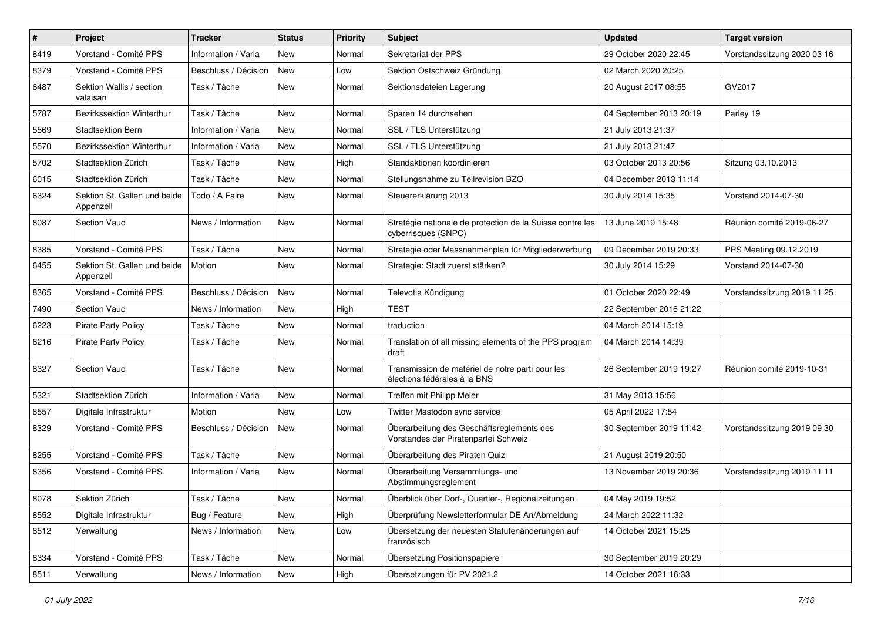| $\pmb{\#}$ | Project                                   | <b>Tracker</b>       | <b>Status</b> | <b>Priority</b> | <b>Subject</b>                                                                    | <b>Updated</b>          | <b>Target version</b>       |
|------------|-------------------------------------------|----------------------|---------------|-----------------|-----------------------------------------------------------------------------------|-------------------------|-----------------------------|
| 8419       | Vorstand - Comité PPS                     | Information / Varia  | New           | Normal          | Sekretariat der PPS                                                               | 29 October 2020 22:45   | Vorstandssitzung 2020 03 16 |
| 8379       | Vorstand - Comité PPS                     | Beschluss / Décision | New           | Low             | Sektion Ostschweiz Gründung                                                       | 02 March 2020 20:25     |                             |
| 6487       | Sektion Wallis / section<br>valaisan      | Task / Tâche         | New           | Normal          | Sektionsdateien Lagerung                                                          | 20 August 2017 08:55    | GV2017                      |
| 5787       | Bezirkssektion Winterthur                 | Task / Tâche         | New           | Normal          | Sparen 14 durchsehen                                                              | 04 September 2013 20:19 | Parley 19                   |
| 5569       | <b>Stadtsektion Bern</b>                  | Information / Varia  | <b>New</b>    | Normal          | SSL / TLS Unterstützung                                                           | 21 July 2013 21:37      |                             |
| 5570       | Bezirkssektion Winterthur                 | Information / Varia  | New           | Normal          | SSL / TLS Unterstützung                                                           | 21 July 2013 21:47      |                             |
| 5702       | Stadtsektion Zürich                       | Task / Tâche         | New           | High            | Standaktionen koordinieren                                                        | 03 October 2013 20:56   | Sitzung 03.10.2013          |
| 6015       | Stadtsektion Zürich                       | Task / Tâche         | New           | Normal          | Stellungsnahme zu Teilrevision BZO                                                | 04 December 2013 11:14  |                             |
| 6324       | Sektion St. Gallen und beide<br>Appenzell | Todo / A Faire       | <b>New</b>    | Normal          | Steuererklärung 2013                                                              | 30 July 2014 15:35      | Vorstand 2014-07-30         |
| 8087       | <b>Section Vaud</b>                       | News / Information   | <b>New</b>    | Normal          | Stratégie nationale de protection de la Suisse contre les<br>cyberrisques (SNPC)  | 13 June 2019 15:48      | Réunion comité 2019-06-27   |
| 8385       | Vorstand - Comité PPS                     | Task / Tâche         | New           | Normal          | Strategie oder Massnahmenplan für Mitgliederwerbung                               | 09 December 2019 20:33  | PPS Meeting 09.12.2019      |
| 6455       | Sektion St. Gallen und beide<br>Appenzell | Motion               | New           | Normal          | Strategie: Stadt zuerst stärken?                                                  | 30 July 2014 15:29      | Vorstand 2014-07-30         |
| 8365       | Vorstand - Comité PPS                     | Beschluss / Décision | <b>New</b>    | Normal          | Televotia Kündigung                                                               | 01 October 2020 22:49   | Vorstandssitzung 2019 11 25 |
| 7490       | <b>Section Vaud</b>                       | News / Information   | <b>New</b>    | High            | <b>TEST</b>                                                                       | 22 September 2016 21:22 |                             |
| 6223       | <b>Pirate Party Policy</b>                | Task / Tâche         | New           | Normal          | traduction                                                                        | 04 March 2014 15:19     |                             |
| 6216       | Pirate Party Policy                       | Task / Tâche         | New           | Normal          | Translation of all missing elements of the PPS program<br>draft                   | 04 March 2014 14:39     |                             |
| 8327       | <b>Section Vaud</b>                       | Task / Tâche         | <b>New</b>    | Normal          | Transmission de matériel de notre parti pour les<br>élections fédérales à la BNS  | 26 September 2019 19:27 | Réunion comité 2019-10-31   |
| 5321       | Stadtsektion Zürich                       | Information / Varia  | New           | Normal          | Treffen mit Philipp Meier                                                         | 31 May 2013 15:56       |                             |
| 8557       | Digitale Infrastruktur                    | Motion               | <b>New</b>    | Low             | Twitter Mastodon sync service                                                     | 05 April 2022 17:54     |                             |
| 8329       | Vorstand - Comité PPS                     | Beschluss / Décision | <b>New</b>    | Normal          | Überarbeitung des Geschäftsreglements des<br>Vorstandes der Piratenpartei Schweiz | 30 September 2019 11:42 | Vorstandssitzung 2019 09 30 |
| 8255       | Vorstand - Comité PPS                     | Task / Tâche         | New           | Normal          | Überarbeitung des Piraten Quiz                                                    | 21 August 2019 20:50    |                             |
| 8356       | Vorstand - Comité PPS                     | Information / Varia  | <b>New</b>    | Normal          | Überarbeitung Versammlungs- und<br>Abstimmungsreglement                           | 13 November 2019 20:36  | Vorstandssitzung 2019 11 11 |
| 8078       | Sektion Zürich                            | Task / Tâche         | New           | Normal          | Überblick über Dorf-, Quartier-, Regionalzeitungen                                | 04 May 2019 19:52       |                             |
| 8552       | Digitale Infrastruktur                    | Bug / Feature        | New           | High            | Überprüfung Newsletterformular DE An/Abmeldung                                    | 24 March 2022 11:32     |                             |
| 8512       | Verwaltung                                | News / Information   | New           | Low             | Übersetzung der neuesten Statutenänderungen auf<br>französisch                    | 14 October 2021 15:25   |                             |
| 8334       | Vorstand - Comité PPS                     | Task / Tâche         | New           | Normal          | Übersetzung Positionspapiere                                                      | 30 September 2019 20:29 |                             |
| 8511       | Verwaltung                                | News / Information   | New           | High            | Übersetzungen für PV 2021.2                                                       | 14 October 2021 16:33   |                             |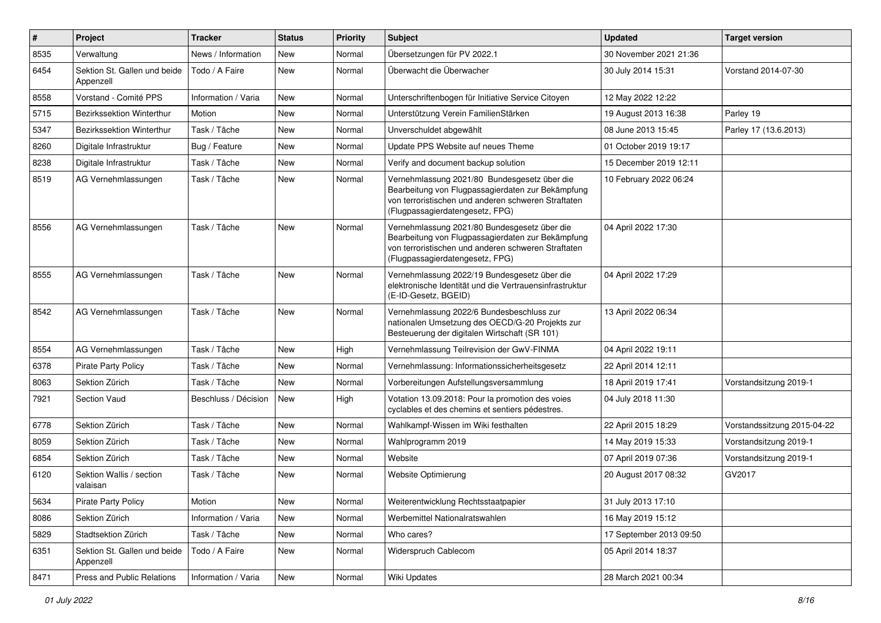| #    | Project                                   | <b>Tracker</b>       | <b>Status</b> | <b>Priority</b> | <b>Subject</b>                                                                                                                                                                              | <b>Updated</b>          | <b>Target version</b>       |
|------|-------------------------------------------|----------------------|---------------|-----------------|---------------------------------------------------------------------------------------------------------------------------------------------------------------------------------------------|-------------------------|-----------------------------|
| 8535 | Verwaltung                                | News / Information   | <b>New</b>    | Normal          | Übersetzungen für PV 2022.1                                                                                                                                                                 | 30 November 2021 21:36  |                             |
| 6454 | Sektion St. Gallen und beide<br>Appenzell | Todo / A Faire       | New           | Normal          | Überwacht die Überwacher                                                                                                                                                                    | 30 July 2014 15:31      | Vorstand 2014-07-30         |
| 8558 | Vorstand - Comité PPS                     | Information / Varia  | <b>New</b>    | Normal          | Unterschriftenbogen für Initiative Service Citoyen                                                                                                                                          | 12 May 2022 12:22       |                             |
| 5715 | Bezirkssektion Winterthur                 | Motion               | <b>New</b>    | Normal          | Unterstützung Verein FamilienStärken                                                                                                                                                        | 19 August 2013 16:38    | Parley 19                   |
| 5347 | Bezirkssektion Winterthur                 | Task / Tâche         | <b>New</b>    | Normal          | Unverschuldet abgewählt                                                                                                                                                                     | 08 June 2013 15:45      | Parley 17 (13.6.2013)       |
| 8260 | Digitale Infrastruktur                    | Bug / Feature        | <b>New</b>    | Normal          | Update PPS Website auf neues Theme                                                                                                                                                          | 01 October 2019 19:17   |                             |
| 8238 | Digitale Infrastruktur                    | Task / Tâche         | New           | Normal          | Verify and document backup solution                                                                                                                                                         | 15 December 2019 12:11  |                             |
| 8519 | AG Vernehmlassungen                       | Task / Tâche         | New           | Normal          | Vernehmlassung 2021/80 Bundesgesetz über die<br>Bearbeitung von Flugpassagierdaten zur Bekämpfung<br>von terroristischen und anderen schweren Straftaten<br>(Flugpassagierdatengesetz, FPG) | 10 February 2022 06:24  |                             |
| 8556 | AG Vernehmlassungen                       | Task / Tâche         | <b>New</b>    | Normal          | Vernehmlassung 2021/80 Bundesgesetz über die<br>Bearbeitung von Flugpassagierdaten zur Bekämpfung<br>von terroristischen und anderen schweren Straftaten<br>(Flugpassagierdatengesetz, FPG) | 04 April 2022 17:30     |                             |
| 8555 | AG Vernehmlassungen                       | Task / Tâche         | New           | Normal          | Vernehmlassung 2022/19 Bundesgesetz über die<br>elektronische Identität und die Vertrauensinfrastruktur<br>(E-ID-Gesetz, BGEID)                                                             | 04 April 2022 17:29     |                             |
| 8542 | AG Vernehmlassungen                       | Task / Tâche         | New           | Normal          | Vernehmlassung 2022/6 Bundesbeschluss zur<br>nationalen Umsetzung des OECD/G-20 Projekts zur<br>Besteuerung der digitalen Wirtschaft (SR 101)                                               | 13 April 2022 06:34     |                             |
| 8554 | AG Vernehmlassungen                       | Task / Tâche         | <b>New</b>    | High            | Vernehmlassung Teilrevision der GwV-FINMA                                                                                                                                                   | 04 April 2022 19:11     |                             |
| 6378 | Pirate Party Policy                       | Task / Tâche         | <b>New</b>    | Normal          | Vernehmlassung: Informationssicherheitsgesetz                                                                                                                                               | 22 April 2014 12:11     |                             |
| 8063 | Sektion Zürich                            | Task / Tâche         | New           | Normal          | Vorbereitungen Aufstellungsversammlung                                                                                                                                                      | 18 April 2019 17:41     | Vorstandsitzung 2019-1      |
| 7921 | Section Vaud                              | Beschluss / Décision | <b>New</b>    | High            | Votation 13.09.2018: Pour la promotion des voies<br>cyclables et des chemins et sentiers pédestres.                                                                                         | 04 July 2018 11:30      |                             |
| 6778 | Sektion Zürich                            | Task / Tâche         | New           | Normal          | Wahlkampf-Wissen im Wiki festhalten                                                                                                                                                         | 22 April 2015 18:29     | Vorstandssitzung 2015-04-22 |
| 8059 | Sektion Zürich                            | Task / Tâche         | <b>New</b>    | Normal          | Wahlprogramm 2019                                                                                                                                                                           | 14 May 2019 15:33       | Vorstandsitzung 2019-1      |
| 6854 | Sektion Zürich                            | Task / Tâche         | New           | Normal          | Website                                                                                                                                                                                     | 07 April 2019 07:36     | Vorstandsitzung 2019-1      |
| 6120 | Sektion Wallis / section<br>valaisan      | Task / Tâche         | <b>New</b>    | Normal          | Website Optimierung                                                                                                                                                                         | 20 August 2017 08:32    | GV2017                      |
| 5634 | <b>Pirate Party Policy</b>                | Motion               | New           | Normal          | Weiterentwicklung Rechtsstaatpapier                                                                                                                                                         | 31 July 2013 17:10      |                             |
| 8086 | Sektion Zürich                            | Information / Varia  | New           | Normal          | Werbemittel Nationalratswahlen                                                                                                                                                              | 16 May 2019 15:12       |                             |
| 5829 | Stadtsektion Zürich                       | Task / Tâche         | New           | Normal          | Who cares?                                                                                                                                                                                  | 17 September 2013 09:50 |                             |
| 6351 | Sektion St. Gallen und beide<br>Appenzell | Todo / A Faire       | New           | Normal          | Widerspruch Cablecom                                                                                                                                                                        | 05 April 2014 18:37     |                             |
| 8471 | Press and Public Relations                | Information / Varia  | New           | Normal          | Wiki Updates                                                                                                                                                                                | 28 March 2021 00:34     |                             |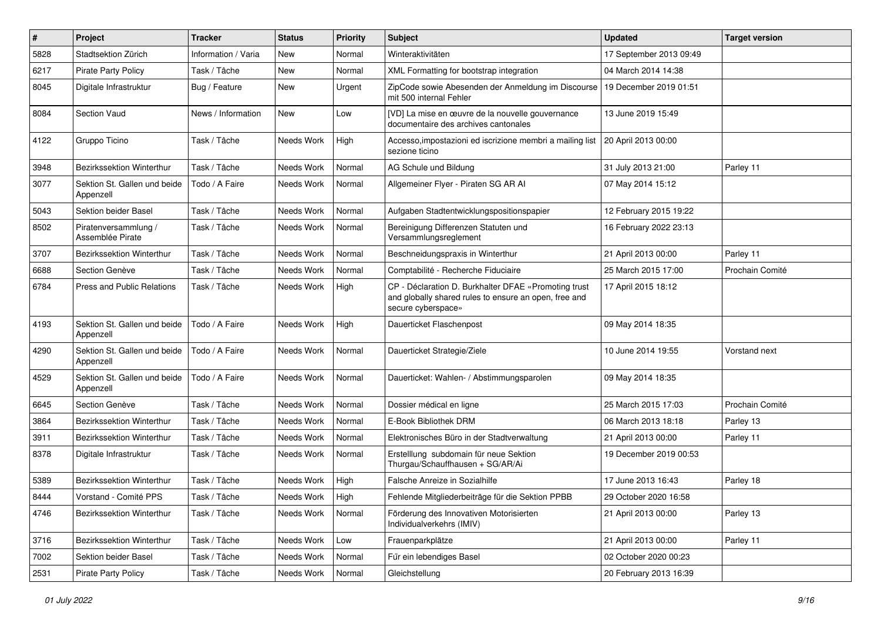| #    | <b>Project</b>                            | <b>Tracker</b>      | <b>Status</b>     | <b>Priority</b> | <b>Subject</b>                                                                                                                      | <b>Updated</b>          | <b>Target version</b> |
|------|-------------------------------------------|---------------------|-------------------|-----------------|-------------------------------------------------------------------------------------------------------------------------------------|-------------------------|-----------------------|
| 5828 | Stadtsektion Zürich                       | Information / Varia | <b>New</b>        | Normal          | Winteraktivitäten                                                                                                                   | 17 September 2013 09:49 |                       |
| 6217 | <b>Pirate Party Policy</b>                | Task / Tâche        | New               | Normal          | XML Formatting for bootstrap integration                                                                                            | 04 March 2014 14:38     |                       |
| 8045 | Digitale Infrastruktur                    | Bug / Feature       | <b>New</b>        | Urgent          | ZipCode sowie Abesenden der Anmeldung im Discourse<br>mit 500 internal Fehler                                                       | 19 December 2019 01:51  |                       |
| 8084 | Section Vaud                              | News / Information  | <b>New</b>        | Low             | [VD] La mise en œuvre de la nouvelle gouvernance<br>documentaire des archives cantonales                                            | 13 June 2019 15:49      |                       |
| 4122 | Gruppo Ticino                             | Task / Tâche        | Needs Work        | High            | Accesso, impostazioni ed iscrizione membri a mailing list   20 April 2013 00:00<br>sezione ticino                                   |                         |                       |
| 3948 | Bezirkssektion Winterthur                 | Task / Tâche        | Needs Work        | Normal          | AG Schule und Bildung                                                                                                               | 31 July 2013 21:00      | Parley 11             |
| 3077 | Sektion St. Gallen und beide<br>Appenzell | Todo / A Faire      | Needs Work        | Normal          | Allgemeiner Flyer - Piraten SG AR Al                                                                                                | 07 May 2014 15:12       |                       |
| 5043 | Sektion beider Basel                      | Task / Tâche        | Needs Work        | Normal          | Aufgaben Stadtentwicklungspositionspapier                                                                                           | 12 February 2015 19:22  |                       |
| 8502 | Piratenversammlung /<br>Assemblée Pirate  | Task / Tâche        | Needs Work        | Normal          | Bereinigung Differenzen Statuten und<br>Versammlungsreglement                                                                       | 16 February 2022 23:13  |                       |
| 3707 | Bezirkssektion Winterthur                 | Task / Tâche        | Needs Work        | Normal          | Beschneidungspraxis in Winterthur                                                                                                   | 21 April 2013 00:00     | Parley 11             |
| 6688 | Section Genève                            | Task / Tâche        | Needs Work        | Normal          | Comptabilité - Recherche Fiduciaire                                                                                                 | 25 March 2015 17:00     | Prochain Comité       |
| 6784 | Press and Public Relations                | Task / Tâche        | Needs Work        | High            | CP - Déclaration D. Burkhalter DFAE «Promoting trust<br>and globally shared rules to ensure an open, free and<br>secure cyberspace» | 17 April 2015 18:12     |                       |
| 4193 | Sektion St. Gallen und beide<br>Appenzell | Todo / A Faire      | Needs Work        | High            | Dauerticket Flaschenpost                                                                                                            | 09 May 2014 18:35       |                       |
| 4290 | Sektion St. Gallen und beide<br>Appenzell | Todo / A Faire      | Needs Work        | Normal          | Dauerticket Strategie/Ziele                                                                                                         | 10 June 2014 19:55      | Vorstand next         |
| 4529 | Sektion St. Gallen und beide<br>Appenzell | Todo / A Faire      | Needs Work        | Normal          | Dauerticket: Wahlen- / Abstimmungsparolen                                                                                           | 09 May 2014 18:35       |                       |
| 6645 | Section Genève                            | Task / Tâche        | Needs Work        | Normal          | Dossier médical en ligne                                                                                                            | 25 March 2015 17:03     | Prochain Comité       |
| 3864 | Bezirkssektion Winterthur                 | Task / Tâche        | Needs Work        | Normal          | E-Book Bibliothek DRM                                                                                                               | 06 March 2013 18:18     | Parley 13             |
| 3911 | Bezirkssektion Winterthur                 | Task / Tâche        | Needs Work        | Normal          | Elektronisches Büro in der Stadtverwaltung                                                                                          | 21 April 2013 00:00     | Parley 11             |
| 8378 | Digitale Infrastruktur                    | Task / Tâche        | Needs Work        | Normal          | Erstelllung subdomain für neue Sektion<br>Thurgau/Schauffhausen + SG/AR/Ai                                                          | 19 December 2019 00:53  |                       |
| 5389 | Bezirkssektion Winterthur                 | Task / Tâche        | Needs Work        | High            | Falsche Anreize in Sozialhilfe                                                                                                      | 17 June 2013 16:43      | Parley 18             |
| 8444 | Vorstand - Comité PPS                     | Task / Tâche        | Needs Work   High |                 | Fehlende Mitgliederbeiträge für die Sektion PPBB                                                                                    | 29 October 2020 16:58   |                       |
| 4746 | Bezirkssektion Winterthur                 | Task / Tâche        | Needs Work        | Normal          | Förderung des Innovativen Motorisierten<br>Individualverkehrs (IMIV)                                                                | 21 April 2013 00:00     | Parley 13             |
| 3716 | <b>Bezirkssektion Winterthur</b>          | Task / Tâche        | Needs Work        | Low             | Frauenparkplätze                                                                                                                    | 21 April 2013 00:00     | Parley 11             |
| 7002 | Sektion beider Basel                      | Task / Tâche        | Needs Work        | Normal          | Für ein lebendiges Basel                                                                                                            | 02 October 2020 00:23   |                       |
| 2531 | <b>Pirate Party Policy</b>                | Task / Tâche        | Needs Work        | Normal          | Gleichstellung                                                                                                                      | 20 February 2013 16:39  |                       |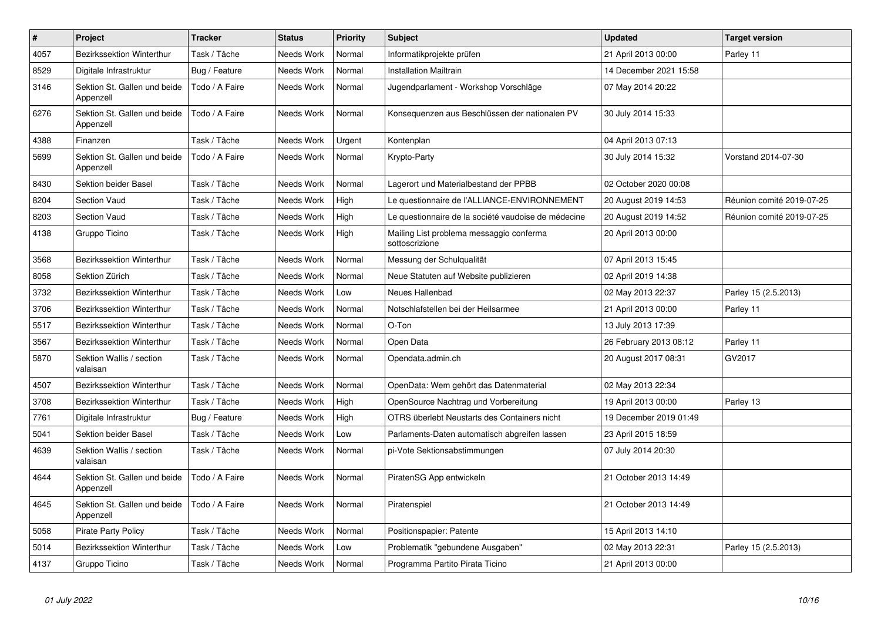| $\pmb{\#}$ | Project                                   | <b>Tracker</b> | <b>Status</b> | <b>Priority</b> | <b>Subject</b>                                             | <b>Updated</b>         | <b>Target version</b>     |
|------------|-------------------------------------------|----------------|---------------|-----------------|------------------------------------------------------------|------------------------|---------------------------|
| 4057       | Bezirkssektion Winterthur                 | Task / Tâche   | Needs Work    | Normal          | Informatikprojekte prüfen                                  | 21 April 2013 00:00    | Parley 11                 |
| 8529       | Digitale Infrastruktur                    | Bug / Feature  | Needs Work    | Normal          | <b>Installation Mailtrain</b>                              | 14 December 2021 15:58 |                           |
| 3146       | Sektion St. Gallen und beide<br>Appenzell | Todo / A Faire | Needs Work    | Normal          | Jugendparlament - Workshop Vorschläge                      | 07 May 2014 20:22      |                           |
| 6276       | Sektion St. Gallen und beide<br>Appenzell | Todo / A Faire | Needs Work    | Normal          | Konsequenzen aus Beschlüssen der nationalen PV             | 30 July 2014 15:33     |                           |
| 4388       | Finanzen                                  | Task / Tâche   | Needs Work    | Urgent          | Kontenplan                                                 | 04 April 2013 07:13    |                           |
| 5699       | Sektion St. Gallen und beide<br>Appenzell | Todo / A Faire | Needs Work    | Normal          | Krypto-Party                                               | 30 July 2014 15:32     | Vorstand 2014-07-30       |
| 8430       | Sektion beider Basel                      | Task / Tâche   | Needs Work    | Normal          | Lagerort und Materialbestand der PPBB                      | 02 October 2020 00:08  |                           |
| 8204       | <b>Section Vaud</b>                       | Task / Tâche   | Needs Work    | High            | Le questionnaire de l'ALLIANCE-ENVIRONNEMENT               | 20 August 2019 14:53   | Réunion comité 2019-07-25 |
| 8203       | <b>Section Vaud</b>                       | Task / Tâche   | Needs Work    | High            | Le questionnaire de la société vaudoise de médecine        | 20 August 2019 14:52   | Réunion comité 2019-07-25 |
| 4138       | Gruppo Ticino                             | Task / Tâche   | Needs Work    | High            | Mailing List problema messaggio conferma<br>sottoscrizione | 20 April 2013 00:00    |                           |
| 3568       | Bezirkssektion Winterthur                 | Task / Tâche   | Needs Work    | Normal          | Messung der Schulqualität                                  | 07 April 2013 15:45    |                           |
| 8058       | Sektion Zürich                            | Task / Tâche   | Needs Work    | Normal          | Neue Statuten auf Website publizieren                      | 02 April 2019 14:38    |                           |
| 3732       | <b>Bezirkssektion Winterthur</b>          | Task / Tâche   | Needs Work    | Low             | Neues Hallenbad                                            | 02 May 2013 22:37      | Parley 15 (2.5.2013)      |
| 3706       | <b>Bezirkssektion Winterthur</b>          | Task / Tâche   | Needs Work    | Normal          | Notschlafstellen bei der Heilsarmee                        | 21 April 2013 00:00    | Parley 11                 |
| 5517       | Bezirkssektion Winterthur                 | Task / Tâche   | Needs Work    | Normal          | O-Ton                                                      | 13 July 2013 17:39     |                           |
| 3567       | Bezirkssektion Winterthur                 | Task / Tâche   | Needs Work    | Normal          | Open Data                                                  | 26 February 2013 08:12 | Parley 11                 |
| 5870       | Sektion Wallis / section<br>valaisan      | Task / Tâche   | Needs Work    | Normal          | Opendata.admin.ch                                          | 20 August 2017 08:31   | GV2017                    |
| 4507       | Bezirkssektion Winterthur                 | Task / Tâche   | Needs Work    | Normal          | OpenData: Wem gehört das Datenmaterial                     | 02 May 2013 22:34      |                           |
| 3708       | Bezirkssektion Winterthur                 | Task / Tâche   | Needs Work    | High            | OpenSource Nachtrag und Vorbereitung                       | 19 April 2013 00:00    | Parley 13                 |
| 7761       | Digitale Infrastruktur                    | Bug / Feature  | Needs Work    | High            | OTRS überlebt Neustarts des Containers nicht               | 19 December 2019 01:49 |                           |
| 5041       | Sektion beider Basel                      | Task / Tâche   | Needs Work    | Low             | Parlaments-Daten automatisch abgreifen lassen              | 23 April 2015 18:59    |                           |
| 4639       | Sektion Wallis / section<br>valaisan      | Task / Tâche   | Needs Work    | Normal          | pi-Vote Sektionsabstimmungen                               | 07 July 2014 20:30     |                           |
| 4644       | Sektion St. Gallen und beide<br>Appenzell | Todo / A Faire | Needs Work    | Normal          | PiratenSG App entwickeln                                   | 21 October 2013 14:49  |                           |
| 4645       | Sektion St. Gallen und beide<br>Appenzell | Todo / A Faire | Needs Work    | Normal          | Piratenspiel                                               | 21 October 2013 14:49  |                           |
| 5058       | <b>Pirate Party Policy</b>                | Task / Tâche   | Needs Work    | Normal          | Positionspapier: Patente                                   | 15 April 2013 14:10    |                           |
| 5014       | <b>Bezirkssektion Winterthur</b>          | Task / Tâche   | Needs Work    | Low             | Problematik "gebundene Ausgaben"                           | 02 May 2013 22:31      | Parley 15 (2.5.2013)      |
| 4137       | Gruppo Ticino                             | Task / Tâche   | Needs Work    | Normal          | Programma Partito Pirata Ticino                            | 21 April 2013 00:00    |                           |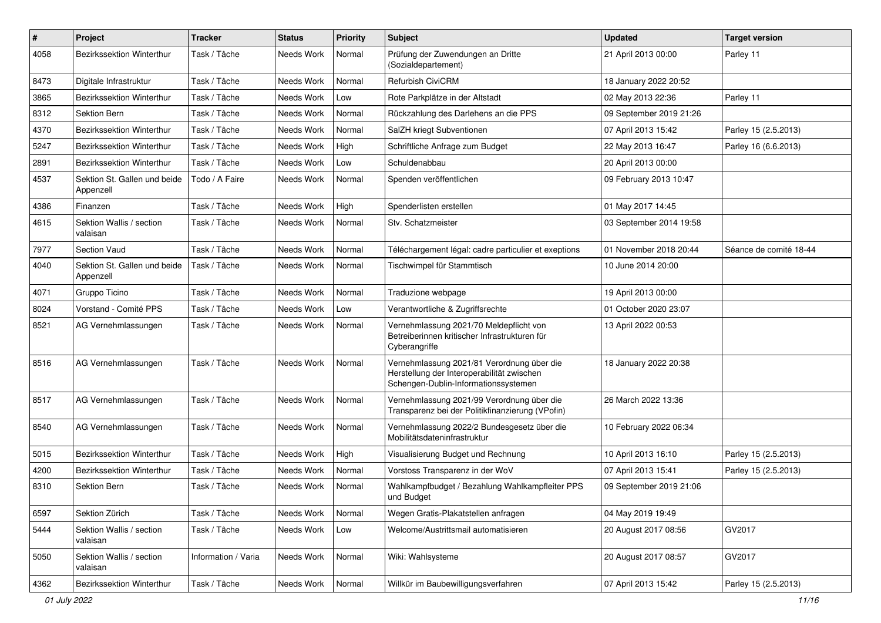| $\pmb{\#}$ | Project                                   | <b>Tracker</b>      | <b>Status</b> | <b>Priority</b> | <b>Subject</b>                                                                                                                   | <b>Updated</b>          | <b>Target version</b>  |
|------------|-------------------------------------------|---------------------|---------------|-----------------|----------------------------------------------------------------------------------------------------------------------------------|-------------------------|------------------------|
| 4058       | Bezirkssektion Winterthur                 | Task / Tâche        | Needs Work    | Normal          | Prüfung der Zuwendungen an Dritte<br>(Sozialdepartement)                                                                         | 21 April 2013 00:00     | Parley 11              |
| 8473       | Digitale Infrastruktur                    | Task / Tâche        | Needs Work    | Normal          | <b>Refurbish CiviCRM</b>                                                                                                         | 18 January 2022 20:52   |                        |
| 3865       | Bezirkssektion Winterthur                 | Task / Tâche        | Needs Work    | Low             | Rote Parkplätze in der Altstadt                                                                                                  | 02 May 2013 22:36       | Parley 11              |
| 8312       | <b>Sektion Bern</b>                       | Task / Tâche        | Needs Work    | Normal          | Rückzahlung des Darlehens an die PPS                                                                                             | 09 September 2019 21:26 |                        |
| 4370       | Bezirkssektion Winterthur                 | Task / Tâche        | Needs Work    | Normal          | SalZH kriegt Subventionen                                                                                                        | 07 April 2013 15:42     | Parley 15 (2.5.2013)   |
| 5247       | Bezirkssektion Winterthur                 | Task / Tâche        | Needs Work    | High            | Schriftliche Anfrage zum Budget                                                                                                  | 22 May 2013 16:47       | Parley 16 (6.6.2013)   |
| 2891       | Bezirkssektion Winterthur                 | Task / Tâche        | Needs Work    | Low             | Schuldenabbau                                                                                                                    | 20 April 2013 00:00     |                        |
| 4537       | Sektion St. Gallen und beide<br>Appenzell | Todo / A Faire      | Needs Work    | Normal          | Spenden veröffentlichen                                                                                                          | 09 February 2013 10:47  |                        |
| 4386       | Finanzen                                  | Task / Tâche        | Needs Work    | High            | Spenderlisten erstellen                                                                                                          | 01 May 2017 14:45       |                        |
| 4615       | Sektion Wallis / section<br>valaisan      | Task / Tâche        | Needs Work    | Normal          | Stv. Schatzmeister                                                                                                               | 03 September 2014 19:58 |                        |
| 7977       | <b>Section Vaud</b>                       | Task / Tâche        | Needs Work    | Normal          | Téléchargement légal: cadre particulier et exeptions                                                                             | 01 November 2018 20:44  | Séance de comité 18-44 |
| 4040       | Sektion St. Gallen und beide<br>Appenzell | Task / Tâche        | Needs Work    | Normal          | Tischwimpel für Stammtisch                                                                                                       | 10 June 2014 20:00      |                        |
| 4071       | Gruppo Ticino                             | Task / Tâche        | Needs Work    | Normal          | Traduzione webpage                                                                                                               | 19 April 2013 00:00     |                        |
| 8024       | Vorstand - Comité PPS                     | Task / Tâche        | Needs Work    | Low             | Verantwortliche & Zugriffsrechte                                                                                                 | 01 October 2020 23:07   |                        |
| 8521       | AG Vernehmlassungen                       | Task / Tâche        | Needs Work    | Normal          | Vernehmlassung 2021/70 Meldepflicht von<br>Betreiberinnen kritischer Infrastrukturen für<br>Cyberangriffe                        | 13 April 2022 00:53     |                        |
| 8516       | AG Vernehmlassungen                       | Task / Tâche        | Needs Work    | Normal          | Vernehmlassung 2021/81 Verordnung über die<br>Herstellung der Interoperabilität zwischen<br>Schengen-Dublin-Informationssystemen | 18 January 2022 20:38   |                        |
| 8517       | AG Vernehmlassungen                       | Task / Tâche        | Needs Work    | Normal          | Vernehmlassung 2021/99 Verordnung über die<br>Transparenz bei der Politikfinanzierung (VPofin)                                   | 26 March 2022 13:36     |                        |
| 8540       | AG Vernehmlassungen                       | Task / Tâche        | Needs Work    | Normal          | Vernehmlassung 2022/2 Bundesgesetz über die<br>Mobilitätsdateninfrastruktur                                                      | 10 February 2022 06:34  |                        |
| 5015       | Bezirkssektion Winterthur                 | Task / Tâche        | Needs Work    | High            | Visualisierung Budget und Rechnung                                                                                               | 10 April 2013 16:10     | Parley 15 (2.5.2013)   |
| 4200       | <b>Bezirkssektion Winterthur</b>          | Task / Tâche        | Needs Work    | Normal          | Vorstoss Transparenz in der WoV                                                                                                  | 07 April 2013 15:41     | Parley 15 (2.5.2013)   |
| 8310       | Sektion Bern                              | Task / Tâche        | Needs Work    | Normal          | Wahlkampfbudget / Bezahlung Wahlkampfleiter PPS<br>und Budget                                                                    | 09 September 2019 21:06 |                        |
| 6597       | Sektion Zürich                            | Task / Tâche        | Needs Work    | Normal          | Wegen Gratis-Plakatstellen anfragen                                                                                              | 04 May 2019 19:49       |                        |
| 5444       | Sektion Wallis / section<br>valaisan      | Task / Tâche        | Needs Work    | Low             | Welcome/Austrittsmail automatisieren                                                                                             | 20 August 2017 08:56    | GV2017                 |
| 5050       | Sektion Wallis / section<br>valaisan      | Information / Varia | Needs Work    | Normal          | Wiki: Wahlsysteme                                                                                                                | 20 August 2017 08:57    | GV2017                 |
| 4362       | Bezirkssektion Winterthur                 | Task / Tâche        | Needs Work    | Normal          | Willkür im Baubewilligungsverfahren                                                                                              | 07 April 2013 15:42     | Parley 15 (2.5.2013)   |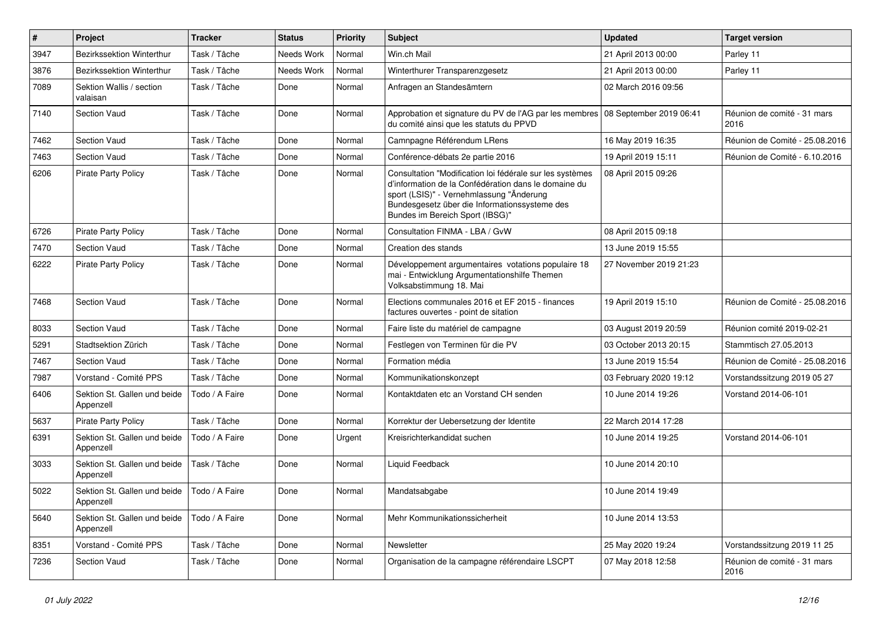| $\pmb{\#}$ | Project                                   | <b>Tracker</b> | <b>Status</b> | <b>Priority</b> | <b>Subject</b>                                                                                                                                                                                                                                   | <b>Updated</b>         | <b>Target version</b>               |
|------------|-------------------------------------------|----------------|---------------|-----------------|--------------------------------------------------------------------------------------------------------------------------------------------------------------------------------------------------------------------------------------------------|------------------------|-------------------------------------|
| 3947       | Bezirkssektion Winterthur                 | Task / Tâche   | Needs Work    | Normal          | Win.ch Mail                                                                                                                                                                                                                                      | 21 April 2013 00:00    | Parley 11                           |
| 3876       | Bezirkssektion Winterthur                 | Task / Tâche   | Needs Work    | Normal          | Winterthurer Transparenzgesetz                                                                                                                                                                                                                   | 21 April 2013 00:00    | Parley 11                           |
| 7089       | Sektion Wallis / section<br>valaisan      | Task / Tâche   | Done          | Normal          | Anfragen an Standesämtern                                                                                                                                                                                                                        | 02 March 2016 09:56    |                                     |
| 7140       | Section Vaud                              | Task / Tâche   | Done          | Normal          | Approbation et signature du PV de l'AG par les membres 08 September 2019 06:41<br>du comité ainsi que les statuts du PPVD                                                                                                                        |                        | Réunion de comité - 31 mars<br>2016 |
| 7462       | Section Vaud                              | Task / Tâche   | Done          | Normal          | Camnpagne Référendum LRens                                                                                                                                                                                                                       | 16 May 2019 16:35      | Réunion de Comité - 25.08.2016      |
| 7463       | <b>Section Vaud</b>                       | Task / Tâche   | Done          | Normal          | Conférence-débats 2e partie 2016                                                                                                                                                                                                                 | 19 April 2019 15:11    | Réunion de Comité - 6.10.2016       |
| 6206       | <b>Pirate Party Policy</b>                | Task / Tâche   | Done          | Normal          | Consultation "Modification loi fédérale sur les systèmes<br>d'information de la Confédération dans le domaine du<br>sport (LSIS)" - Vernehmlassung "Änderung<br>Bundesgesetz über die Informationssysteme des<br>Bundes im Bereich Sport (IBSG)" | 08 April 2015 09:26    |                                     |
| 6726       | <b>Pirate Party Policy</b>                | Task / Tâche   | Done          | Normal          | Consultation FINMA - LBA / GvW                                                                                                                                                                                                                   | 08 April 2015 09:18    |                                     |
| 7470       | <b>Section Vaud</b>                       | Task / Tâche   | Done          | Normal          | Creation des stands                                                                                                                                                                                                                              | 13 June 2019 15:55     |                                     |
| 6222       | <b>Pirate Party Policy</b>                | Task / Tâche   | Done          | Normal          | Développement argumentaires votations populaire 18<br>mai - Entwicklung Argumentationshilfe Themen<br>Volksabstimmung 18. Mai                                                                                                                    | 27 November 2019 21:23 |                                     |
| 7468       | Section Vaud                              | Task / Tâche   | Done          | Normal          | Elections communales 2016 et EF 2015 - finances<br>factures ouvertes - point de sitation                                                                                                                                                         | 19 April 2019 15:10    | Réunion de Comité - 25.08.2016      |
| 8033       | Section Vaud                              | Task / Tâche   | Done          | Normal          | Faire liste du matériel de campagne                                                                                                                                                                                                              | 03 August 2019 20:59   | Réunion comité 2019-02-21           |
| 5291       | Stadtsektion Zürich                       | Task / Tâche   | Done          | Normal          | Festlegen von Terminen für die PV                                                                                                                                                                                                                | 03 October 2013 20:15  | Stammtisch 27.05.2013               |
| 7467       | <b>Section Vaud</b>                       | Task / Tâche   | Done          | Normal          | Formation média                                                                                                                                                                                                                                  | 13 June 2019 15:54     | Réunion de Comité - 25.08.2016      |
| 7987       | Vorstand - Comité PPS                     | Task / Tâche   | Done          | Normal          | Kommunikationskonzept                                                                                                                                                                                                                            | 03 February 2020 19:12 | Vorstandssitzung 2019 05 27         |
| 6406       | Sektion St. Gallen und beide<br>Appenzell | Todo / A Faire | Done          | Normal          | Kontaktdaten etc an Vorstand CH senden                                                                                                                                                                                                           | 10 June 2014 19:26     | Vorstand 2014-06-101                |
| 5637       | <b>Pirate Party Policy</b>                | Task / Tâche   | Done          | Normal          | Korrektur der Uebersetzung der Identite                                                                                                                                                                                                          | 22 March 2014 17:28    |                                     |
| 6391       | Sektion St. Gallen und beide<br>Appenzell | Todo / A Faire | Done          | Urgent          | Kreisrichterkandidat suchen                                                                                                                                                                                                                      | 10 June 2014 19:25     | Vorstand 2014-06-101                |
| 3033       | Sektion St. Gallen und beide<br>Appenzell | Task / Tâche   | Done          | Normal          | Liquid Feedback                                                                                                                                                                                                                                  | 10 June 2014 20:10     |                                     |
| 5022       | Sektion St. Gallen und beide<br>Appenzell | Todo / A Faire | Done          | Normal          | Mandatsabgabe                                                                                                                                                                                                                                    | 10 June 2014 19:49     |                                     |
| 5640       | Sektion St. Gallen und beide<br>Appenzell | Todo / A Faire | Done          | Normal          | Mehr Kommunikationssicherheit                                                                                                                                                                                                                    | 10 June 2014 13:53     |                                     |
| 8351       | Vorstand - Comité PPS                     | Task / Tâche   | Done          | Normal          | Newsletter                                                                                                                                                                                                                                       | 25 May 2020 19:24      | Vorstandssitzung 2019 11 25         |
| 7236       | Section Vaud                              | Task / Tâche   | Done          | Normal          | Organisation de la campagne référendaire LSCPT                                                                                                                                                                                                   | 07 May 2018 12:58      | Réunion de comité - 31 mars<br>2016 |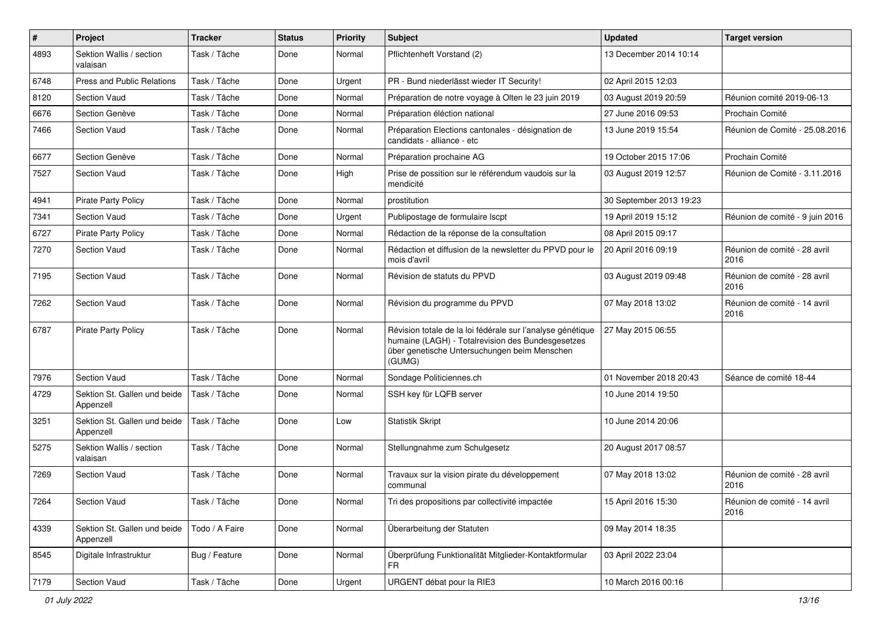| $\sharp$ | Project                                   | <b>Tracker</b> | <b>Status</b> | <b>Priority</b> | Subject                                                                                                                                                                   | <b>Updated</b>          | <b>Target version</b>                |
|----------|-------------------------------------------|----------------|---------------|-----------------|---------------------------------------------------------------------------------------------------------------------------------------------------------------------------|-------------------------|--------------------------------------|
| 4893     | Sektion Wallis / section<br>valaisan      | Task / Tâche   | Done          | Normal          | Pflichtenheft Vorstand (2)                                                                                                                                                | 13 December 2014 10:14  |                                      |
| 6748     | Press and Public Relations                | Task / Tâche   | Done          | Urgent          | PR - Bund niederlässt wieder IT Security!                                                                                                                                 | 02 April 2015 12:03     |                                      |
| 8120     | Section Vaud                              | Task / Tâche   | Done          | Normal          | Préparation de notre voyage à Olten le 23 juin 2019                                                                                                                       | 03 August 2019 20:59    | Réunion comité 2019-06-13            |
| 6676     | Section Genève                            | Task / Tâche   | Done          | Normal          | Préparation éléction national                                                                                                                                             | 27 June 2016 09:53      | Prochain Comité                      |
| 7466     | Section Vaud                              | Task / Tâche   | Done          | Normal          | Préparation Elections cantonales - désignation de<br>candidats - alliance - etc                                                                                           | 13 June 2019 15:54      | Réunion de Comité - 25.08.2016       |
| 6677     | Section Genève                            | Task / Tâche   | Done          | Normal          | Préparation prochaine AG                                                                                                                                                  | 19 October 2015 17:06   | Prochain Comité                      |
| 7527     | <b>Section Vaud</b>                       | Task / Tâche   | Done          | High            | Prise de possition sur le référendum vaudois sur la<br>mendicité                                                                                                          | 03 August 2019 12:57    | Réunion de Comité - 3.11.2016        |
| 4941     | <b>Pirate Party Policy</b>                | Task / Tâche   | Done          | Normal          | prostitution                                                                                                                                                              | 30 September 2013 19:23 |                                      |
| 7341     | Section Vaud                              | Task / Tâche   | Done          | Urgent          | Publipostage de formulaire Iscpt                                                                                                                                          | 19 April 2019 15:12     | Réunion de comité - 9 juin 2016      |
| 6727     | Pirate Party Policy                       | Task / Tâche   | Done          | Normal          | Rédaction de la réponse de la consultation                                                                                                                                | 08 April 2015 09:17     |                                      |
| 7270     | Section Vaud                              | Task / Tâche   | Done          | Normal          | Rédaction et diffusion de la newsletter du PPVD pour le<br>mois d'avril                                                                                                   | 20 April 2016 09:19     | Réunion de comité - 28 avril<br>2016 |
| 7195     | Section Vaud                              | Task / Tâche   | Done          | Normal          | Révision de statuts du PPVD                                                                                                                                               | 03 August 2019 09:48    | Réunion de comité - 28 avril<br>2016 |
| 7262     | Section Vaud                              | Task / Tâche   | Done          | Normal          | Révision du programme du PPVD                                                                                                                                             | 07 May 2018 13:02       | Réunion de comité - 14 avril<br>2016 |
| 6787     | <b>Pirate Party Policy</b>                | Task / Tâche   | Done          | Normal          | Révision totale de la loi fédérale sur l'analyse génétique<br>humaine (LAGH) - Totalrevision des Bundesgesetzes<br>über genetische Untersuchungen beim Menschen<br>(GUMG) | 27 May 2015 06:55       |                                      |
| 7976     | Section Vaud                              | Task / Tâche   | Done          | Normal          | Sondage Politiciennes.ch                                                                                                                                                  | 01 November 2018 20:43  | Séance de comité 18-44               |
| 4729     | Sektion St. Gallen und beide<br>Appenzell | Task / Tâche   | Done          | Normal          | SSH key für LQFB server                                                                                                                                                   | 10 June 2014 19:50      |                                      |
| 3251     | Sektion St. Gallen und beide<br>Appenzell | Task / Tâche   | Done          | Low             | <b>Statistik Skript</b>                                                                                                                                                   | 10 June 2014 20:06      |                                      |
| 5275     | Sektion Wallis / section<br>valaisan      | Task / Tâche   | Done          | Normal          | Stellungnahme zum Schulgesetz                                                                                                                                             | 20 August 2017 08:57    |                                      |
| 7269     | Section Vaud                              | Task / Tâche   | Done          | Normal          | Travaux sur la vision pirate du développement<br>communal                                                                                                                 | 07 May 2018 13:02       | Réunion de comité - 28 avril<br>2016 |
| 7264     | <b>Section Vaud</b>                       | Task / Tâche   | Done          | Normal          | Tri des propositions par collectivité impactée                                                                                                                            | 15 April 2016 15:30     | Réunion de comité - 14 avril<br>2016 |
| 4339     | Sektion St. Gallen und beide<br>Appenzell | Todo / A Faire | Done          | Normal          | Überarbeitung der Statuten                                                                                                                                                | 09 May 2014 18:35       |                                      |
| 8545     | Digitale Infrastruktur                    | Bug / Feature  | Done          | Normal          | Überprüfung Funktionalität Mitglieder-Kontaktformular<br>FR.                                                                                                              | 03 April 2022 23:04     |                                      |
| 7179     | Section Vaud                              | Task / Tâche   | Done          | Urgent          | URGENT débat pour la RIE3                                                                                                                                                 | 10 March 2016 00:16     |                                      |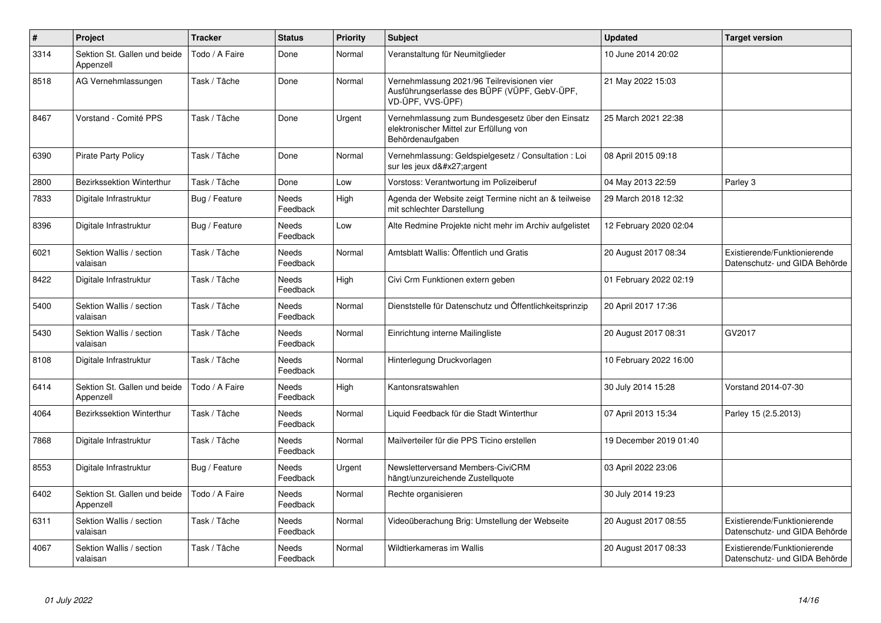| $\pmb{\#}$ | Project                                   | <b>Tracker</b> | <b>Status</b>            | <b>Priority</b> | <b>Subject</b>                                                                                                  | <b>Updated</b>         | <b>Target version</b>                                         |
|------------|-------------------------------------------|----------------|--------------------------|-----------------|-----------------------------------------------------------------------------------------------------------------|------------------------|---------------------------------------------------------------|
| 3314       | Sektion St. Gallen und beide<br>Appenzell | Todo / A Faire | Done                     | Normal          | Veranstaltung für Neumitglieder                                                                                 | 10 June 2014 20:02     |                                                               |
| 8518       | AG Vernehmlassungen                       | Task / Tâche   | Done                     | Normal          | Vernehmlassung 2021/96 Teilrevisionen vier<br>Ausführungserlasse des BÜPF (VÜPF, GebV-ÜPF,<br>VD-ÜPF, VVS-ÜPF)  | 21 May 2022 15:03      |                                                               |
| 8467       | Vorstand - Comité PPS                     | Task / Tâche   | Done                     | Urgent          | Vernehmlassung zum Bundesgesetz über den Einsatz<br>elektronischer Mittel zur Erfüllung von<br>Behördenaufgaben | 25 March 2021 22:38    |                                                               |
| 6390       | <b>Pirate Party Policy</b>                | Task / Tâche   | Done                     | Normal          | Vernehmlassung: Geldspielgesetz / Consultation : Loi<br>sur les jeux d'argent                                   | 08 April 2015 09:18    |                                                               |
| 2800       | <b>Bezirkssektion Winterthur</b>          | Task / Tâche   | Done                     | Low             | Vorstoss: Verantwortung im Polizeiberuf                                                                         | 04 May 2013 22:59      | Parley 3                                                      |
| 7833       | Digitale Infrastruktur                    | Bug / Feature  | <b>Needs</b><br>Feedback | High            | Agenda der Website zeigt Termine nicht an & teilweise<br>mit schlechter Darstellung                             | 29 March 2018 12:32    |                                                               |
| 8396       | Digitale Infrastruktur                    | Bug / Feature  | Needs<br>Feedback        | Low             | Alte Redmine Projekte nicht mehr im Archiv aufgelistet                                                          | 12 February 2020 02:04 |                                                               |
| 6021       | Sektion Wallis / section<br>valaisan      | Task / Tâche   | Needs<br>Feedback        | Normal          | Amtsblatt Wallis: Öffentlich und Gratis                                                                         | 20 August 2017 08:34   | Existierende/Funktionierende<br>Datenschutz- und GIDA Behörde |
| 8422       | Digitale Infrastruktur                    | Task / Tâche   | <b>Needs</b><br>Feedback | High            | Civi Crm Funktionen extern geben                                                                                | 01 February 2022 02:19 |                                                               |
| 5400       | Sektion Wallis / section<br>valaisan      | Task / Tâche   | Needs<br>Feedback        | Normal          | Dienststelle für Datenschutz und Öffentlichkeitsprinzip                                                         | 20 April 2017 17:36    |                                                               |
| 5430       | Sektion Wallis / section<br>valaisan      | Task / Tâche   | Needs<br>Feedback        | Normal          | Einrichtung interne Mailingliste                                                                                | 20 August 2017 08:31   | GV2017                                                        |
| 8108       | Digitale Infrastruktur                    | Task / Tâche   | Needs<br>Feedback        | Normal          | Hinterlegung Druckvorlagen                                                                                      | 10 February 2022 16:00 |                                                               |
| 6414       | Sektion St. Gallen und beide<br>Appenzell | Todo / A Faire | <b>Needs</b><br>Feedback | High            | Kantonsratswahlen                                                                                               | 30 July 2014 15:28     | Vorstand 2014-07-30                                           |
| 4064       | <b>Bezirkssektion Winterthur</b>          | Task / Tâche   | Needs<br>Feedback        | Normal          | Liquid Feedback für die Stadt Winterthur                                                                        | 07 April 2013 15:34    | Parley 15 (2.5.2013)                                          |
| 7868       | Digitale Infrastruktur                    | Task / Tâche   | Needs<br>Feedback        | Normal          | Mailverteiler für die PPS Ticino erstellen                                                                      | 19 December 2019 01:40 |                                                               |
| 8553       | Digitale Infrastruktur                    | Bug / Feature  | Needs<br>Feedback        | Urgent          | Newsletterversand Members-CiviCRM<br>hängt/unzureichende Zustellquote                                           | 03 April 2022 23:06    |                                                               |
| 6402       | Sektion St. Gallen und beide<br>Appenzell | Todo / A Faire | Needs<br>Feedback        | Normal          | Rechte organisieren                                                                                             | 30 July 2014 19:23     |                                                               |
| 6311       | Sektion Wallis / section<br>valaisan      | Task / Tâche   | Needs<br>Feedback        | Normal          | Videoüberachung Brig: Umstellung der Webseite                                                                   | 20 August 2017 08:55   | Existierende/Funktionierende<br>Datenschutz- und GIDA Behörde |
| 4067       | Sektion Wallis / section<br>valaisan      | Task / Tâche   | Needs<br>Feedback        | Normal          | Wildtierkameras im Wallis                                                                                       | 20 August 2017 08:33   | Existierende/Funktionierende<br>Datenschutz- und GIDA Behörde |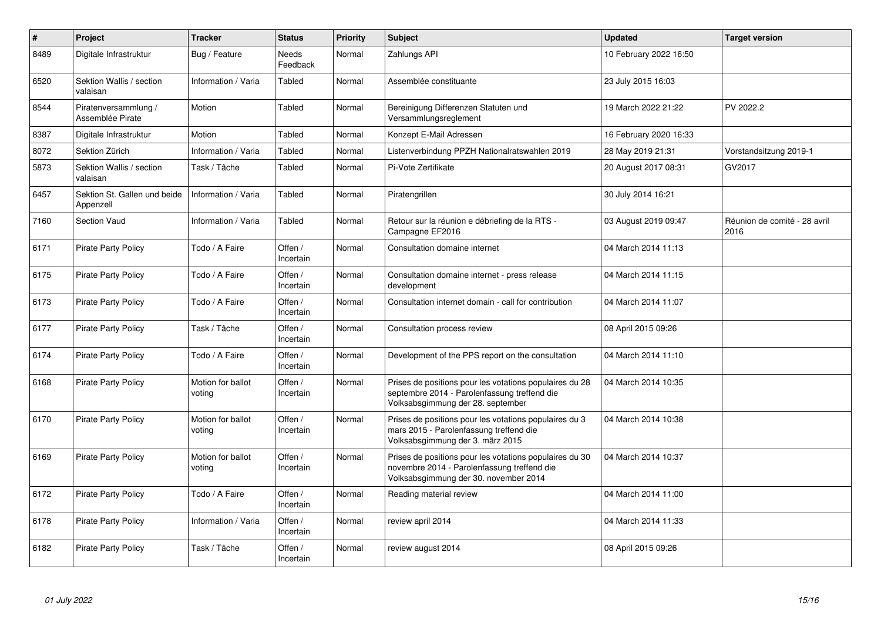| $\sharp$ | Project                                   | <b>Tracker</b>              | <b>Status</b>        | <b>Priority</b> | <b>Subject</b>                                                                                                                                  | <b>Updated</b>         | <b>Target version</b>                |
|----------|-------------------------------------------|-----------------------------|----------------------|-----------------|-------------------------------------------------------------------------------------------------------------------------------------------------|------------------------|--------------------------------------|
| 8489     | Digitale Infrastruktur                    | Bug / Feature               | Needs<br>Feedback    | Normal          | Zahlungs API                                                                                                                                    | 10 February 2022 16:50 |                                      |
| 6520     | Sektion Wallis / section<br>valaisan      | Information / Varia         | Tabled               | Normal          | Assemblée constituante                                                                                                                          | 23 July 2015 16:03     |                                      |
| 8544     | Piratenversammlung /<br>Assemblée Pirate  | Motion                      | Tabled               | Normal          | Bereinigung Differenzen Statuten und<br>Versammlungsreglement                                                                                   | 19 March 2022 21:22    | PV 2022.2                            |
| 8387     | Digitale Infrastruktur                    | Motion                      | Tabled               | Normal          | Konzept E-Mail Adressen                                                                                                                         | 16 February 2020 16:33 |                                      |
| 8072     | Sektion Zürich                            | Information / Varia         | Tabled               | Normal          | Listenverbindung PPZH Nationalratswahlen 2019                                                                                                   | 28 May 2019 21:31      | Vorstandsitzung 2019-1               |
| 5873     | Sektion Wallis / section<br>valaisan      | Task / Tâche                | Tabled               | Normal          | Pi-Vote Zertifikate                                                                                                                             | 20 August 2017 08:31   | GV2017                               |
| 6457     | Sektion St. Gallen und beide<br>Appenzell | Information / Varia         | Tabled               | Normal          | Piratengrillen                                                                                                                                  | 30 July 2014 16:21     |                                      |
| 7160     | Section Vaud                              | Information / Varia         | Tabled               | Normal          | Retour sur la réunion e débriefing de la RTS -<br>Campagne EF2016                                                                               | 03 August 2019 09:47   | Réunion de comité - 28 avril<br>2016 |
| 6171     | <b>Pirate Party Policy</b>                | Todo / A Faire              | Offen /<br>Incertain | Normal          | Consultation domaine internet                                                                                                                   | 04 March 2014 11:13    |                                      |
| 6175     | <b>Pirate Party Policy</b>                | Todo / A Faire              | Offen /<br>Incertain | Normal          | Consultation domaine internet - press release<br>development                                                                                    | 04 March 2014 11:15    |                                      |
| 6173     | <b>Pirate Party Policy</b>                | Todo / A Faire              | Offen /<br>Incertain | Normal          | Consultation internet domain - call for contribution                                                                                            | 04 March 2014 11:07    |                                      |
| 6177     | <b>Pirate Party Policy</b>                | Task / Tâche                | Offen /<br>Incertain | Normal          | Consultation process review                                                                                                                     | 08 April 2015 09:26    |                                      |
| 6174     | <b>Pirate Party Policy</b>                | Todo / A Faire              | Offen /<br>Incertain | Normal          | Development of the PPS report on the consultation                                                                                               | 04 March 2014 11:10    |                                      |
| 6168     | <b>Pirate Party Policy</b>                | Motion for ballot<br>voting | Offen /<br>Incertain | Normal          | Prises de positions pour les votations populaires du 28<br>septembre 2014 - Parolenfassung treffend die<br>Volksabsgimmung der 28. september    | 04 March 2014 10:35    |                                      |
| 6170     | <b>Pirate Party Policy</b>                | Motion for ballot<br>voting | Offen /<br>Incertain | Normal          | Prises de positions pour les votations populaires du 3<br>mars 2015 - Parolenfassung treffend die<br>Volksabsgimmung der 3. märz 2015           | 04 March 2014 10:38    |                                      |
| 6169     | <b>Pirate Party Policy</b>                | Motion for ballot<br>voting | Offen /<br>Incertain | Normal          | Prises de positions pour les votations populaires du 30<br>novembre 2014 - Parolenfassung treffend die<br>Volksabsgimmung der 30. november 2014 | 04 March 2014 10:37    |                                      |
| 6172     | <b>Pirate Party Policy</b>                | Todo / A Faire              | Offen /<br>Incertain | Normal          | Reading material review                                                                                                                         | 04 March 2014 11:00    |                                      |
| 6178     | <b>Pirate Party Policy</b>                | Information / Varia         | Offen /<br>Incertain | Normal          | review april 2014                                                                                                                               | 04 March 2014 11:33    |                                      |
| 6182     | <b>Pirate Party Policy</b>                | Task / Tâche                | Offen /<br>Incertain | Normal          | review august 2014                                                                                                                              | 08 April 2015 09:26    |                                      |